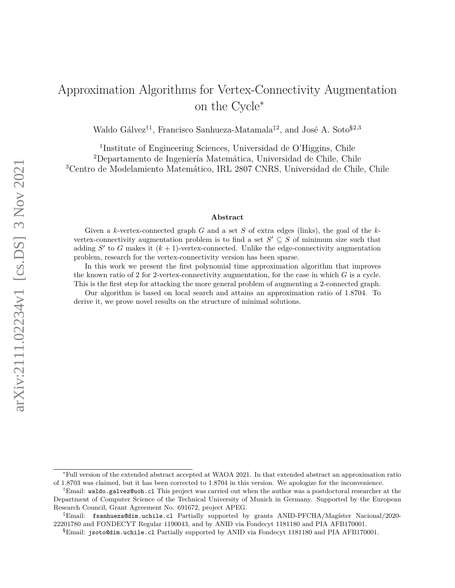# Approximation Algorithms for Vertex-Connectivity Augmentation on the Cycle<sup>∗</sup>

Waldo Gálvez<sup>†1</sup>, Francisco Sanhueza-Matamala<sup>‡2</sup>, and José A. Soto<sup>§2,3</sup>

<sup>1</sup>Institute of Engineering Sciences, Universidad de O'Higgins, Chile <sup>2</sup>Departamento de Ingeniería Matemática, Universidad de Chile, Chile <sup>3</sup>Centro de Modelamiento Matemático, IRL 2807 CNRS, Universidad de Chile, Chile

#### **Abstract**

Given a *k*-vertex-connected graph *G* and a set *S* of extra edges (links), the goal of the *k*vertex-connectivity augmentation problem is to find a set  $S' \subseteq S$  of minimum size such that adding  $S'$  to  $G$  makes it  $(k + 1)$ -vertex-connected. Unlike the edge-connectivity augmentation problem, research for the vertex-connectivity version has been sparse.

In this work we present the first polynomial time approximation algorithm that improves the known ratio of 2 for 2-vertex-connectivity augmentation, for the case in which *G* is a cycle. This is the first step for attacking the more general problem of augmenting a 2-connected graph.

Our algorithm is based on local search and attains an approximation ratio of 1*.*8704. To derive it, we prove novel results on the structure of minimal solutions.

<sup>∗</sup>Full version of the extended abstract accepted at WAOA 2021. In that extended abstract an approximation ratio of 1*.*8703 was claimed, but it has been corrected to 1*.*8704 in this version. We apologize for the inconvenience.

<sup>†</sup>Email: waldo.galvez@uoh.cl This project was carried out when the author was a postdoctoral researcher at the Department of Computer Science of the Technical University of Munich in Germany. Supported by the European Research Council, Grant Agreement No. 691672, project APEG.

 ${}^{\ddagger}$ Email: fsanhueza@dim.uchile.cl Partially supported by grants ANID-PFCHA/Magíster Nacional/2020-22201780 and FONDECYT Regular 1190043, and by ANID via Fondecyt 1181180 and PIA AFB170001.

<sup>§</sup>Email: jsoto@dim.uchile.cl Partially supported by ANID via Fondecyt 1181180 and PIA AFB170001.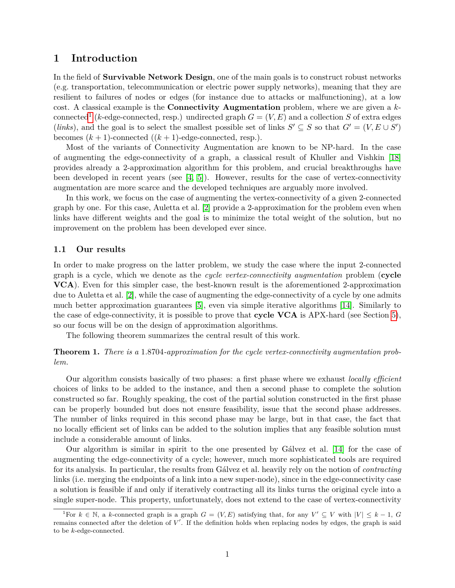# **1 Introduction**

In the field of **Survivable Network Design**, one of the main goals is to construct robust networks (e.g. transportation, telecommunication or electric power supply networks), meaning that they are resilient to failures of nodes or edges (for instance due to attacks or malfunctioning), at a low cost. A classical example is the **Connectivity Augmentation** problem, where we are given a *k*-connected<sup>[1](#page-1-0)</sup> (*k*-edge-connected, resp.) undirected graph  $G = (V, E)$  and a collection *S* of extra edges (*links*), and the goal is to select the smallest possible set of links  $S' \subseteq S$  so that  $G' = (V, E \cup S')$ becomes  $(k + 1)$ -connected  $((k + 1)$ -edge-connected, resp.).

Most of the variants of Connectivity Augmentation are known to be NP-hard. In the case of augmenting the edge-connectivity of a graph, a classical result of Khuller and Vishkin [\[18\]](#page-19-0) provides already a 2-approximation algorithm for this problem, and crucial breakthroughs have been developed in recent years (see  $[4, 5]$  $[4, 5]$ ). However, results for the case of vertex-connectivity augmentation are more scarce and the developed techniques are arguably more involved.

In this work, we focus on the case of augmenting the vertex-connectivity of a given 2-connected graph by one. For this case, Auletta et al. [\[2\]](#page-18-2) provide a 2-approximation for the problem even when links have different weights and the goal is to minimize the total weight of the solution, but no improvement on the problem has been developed ever since.

#### **1.1 Our results**

In order to make progress on the latter problem, we study the case where the input 2-connected graph is a cycle, which we denote as the *cycle vertex-connectivity augmentation* problem (**cycle VCA**). Even for this simpler case, the best-known result is the aforementioned 2-approximation due to Auletta et al. [\[2\]](#page-18-2), while the case of augmenting the edge-connectivity of a cycle by one admits much better approximation guarantees [\[5\]](#page-18-1), even via simple iterative algorithms [\[14\]](#page-19-1). Similarly to the case of edge-connectivity, it is possible to prove that **cycle VCA** is APX-hard (see Section [5\)](#page-17-0), so our focus will be on the design of approximation algorithms.

The following theorem summarizes the central result of this work.

<span id="page-1-1"></span>**Theorem 1.** *There is a* 1*.*8704*-approximation for the cycle vertex-connectivity augmentation problem.*

Our algorithm consists basically of two phases: a first phase where we exhaust *locally efficient* choices of links to be added to the instance, and then a second phase to complete the solution constructed so far. Roughly speaking, the cost of the partial solution constructed in the first phase can be properly bounded but does not ensure feasibility, issue that the second phase addresses. The number of links required in this second phase may be large, but in that case, the fact that no locally efficient set of links can be added to the solution implies that any feasible solution must include a considerable amount of links.

Our algorithm is similar in spirit to the one presented by Gálvez et al. [\[14\]](#page-19-1) for the case of augmenting the edge-connectivity of a cycle; however, much more sophisticated tools are required for its analysis. In particular, the results from Gálvez et al. heavily rely on the notion of *contracting* links (i.e. merging the endpoints of a link into a new super-node), since in the edge-connectivity case a solution is feasible if and only if iteratively contracting all its links turns the original cycle into a single super-node. This property, unfortunately, does not extend to the case of vertex-connectivity

<span id="page-1-0"></span><sup>&</sup>lt;sup>1</sup>For  $k \in \mathbb{N}$ , a *k*-connected graph is a graph  $G = (V, E)$  satisfying that, for any  $V' \subseteq V$  with  $|V| \leq k - 1$ ,  $G$ remains connected after the deletion of V'. If the definition holds when replacing nodes by edges, the graph is said to be *k*-edge-connected.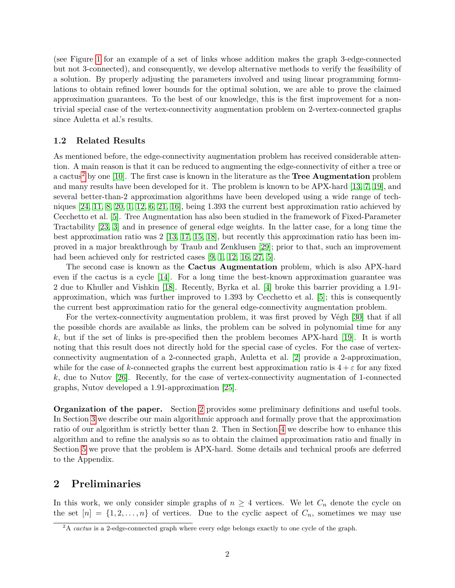(see Figure [1](#page-4-0) for an example of a set of links whose addition makes the graph 3-edge-connected but not 3-connected), and consequently, we develop alternative methods to verify the feasibility of a solution. By properly adjusting the parameters involved and using linear programming formulations to obtain refined lower bounds for the optimal solution, we are able to prove the claimed approximation guarantees. To the best of our knowledge, this is the first improvement for a nontrivial special case of the vertex-connectivity augmentation problem on 2-vertex-connected graphs since Auletta et al.'s results.

#### **1.2 Related Results**

As mentioned before, the edge-connectivity augmentation problem has received considerable attention. A main reason is that it can be reduced to augmenting the edge-connectivity of either a tree or a cactus[2](#page-2-0) by one [\[10\]](#page-18-3). The first case is known in the literature as the **Tree Augmentation** problem and many results have been developed for it. The problem is known to be APX-hard [\[13,](#page-19-2) [7,](#page-18-4) [19\]](#page-19-3), and several better-than-2 approximation algorithms have been developed using a wide range of techniques [\[24,](#page-19-4) [11,](#page-18-5) [8,](#page-18-6) [20,](#page-19-5) [1,](#page-18-7) [12,](#page-18-8) [6,](#page-18-9) [21,](#page-19-6) [16\]](#page-19-7), being 1*.*393 the current best approximation ratio achieved by Cecchetto et al. [\[5\]](#page-18-1). Tree Augmentation has also been studied in the framework of Fixed-Parameter Tractability [\[23,](#page-19-8) [3\]](#page-18-10) and in presence of general edge weights. In the latter case, for a long time the best approximation ratio was 2 [\[13,](#page-19-2) [17,](#page-19-9) [15,](#page-19-10) [18\]](#page-19-0), but recently this approximation ratio has been improved in a major breakthrough by Traub and Zenklusen [\[29\]](#page-20-0); prior to that, such an improvement had been achieved only for restricted cases [\[9,](#page-18-11) [1,](#page-18-7) [12,](#page-18-8) [16,](#page-19-7) [27,](#page-20-1) [5\]](#page-18-1).

The second case is known as the **Cactus Augmentation** problem, which is also APX-hard even if the cactus is a cycle [\[14\]](#page-19-1). For a long time the best-known approximation guarantee was 2 due to Khuller and Vishkin [\[18\]](#page-19-0). Recently, Byrka et al. [\[4\]](#page-18-0) broke this barrier providing a 1*.*91 approximation, which was further improved to 1*.*393 by Cecchetto et al. [\[5\]](#page-18-1); this is consequently the current best approximation ratio for the general edge-connectivity augmentation problem.

For the vertex-connectivity augmentation problem, it was first proved by Végh [\[30\]](#page-20-2) that if all the possible chords are available as links, the problem can be solved in polynomial time for any *k*, but if the set of links is pre-specified then the problem becomes APX-hard [\[19\]](#page-19-3). It is worth noting that this result does not directly hold for the special case of cycles. For the case of vertexconnectivity augmentation of a 2-connected graph, Auletta et al. [\[2\]](#page-18-2) provide a 2-approximation, while for the case of *k*-connected graphs the current best approximation ratio is  $4 + \varepsilon$  for any fixed *k*, due to Nutov [\[26\]](#page-19-11). Recently, for the case of vertex-connectivity augmentation of 1-connected graphs, Nutov developed a 1*.*91-approximation [\[25\]](#page-19-12).

**Organization of the paper.** Section [2](#page-2-1) provides some preliminary definitions and useful tools. In Section [3](#page-9-0) we describe our main algorithmic approach and formally prove that the approximation ratio of our algorithm is strictly better than 2. Then in Section [4](#page-13-0) we describe how to enhance this algorithm and to refine the analysis so as to obtain the claimed approximation ratio and finally in Section [5](#page-17-0) we prove that the problem is APX-hard. Some details and technical proofs are deferred to the Appendix.

## <span id="page-2-1"></span>**2 Preliminaries**

In this work, we only consider simple graphs of  $n \geq 4$  vertices. We let  $C_n$  denote the cycle on the set  $[n] = \{1, 2, \ldots, n\}$  of vertices. Due to the cyclic aspect of  $C_n$ , sometimes we may use

<span id="page-2-0"></span><sup>&</sup>lt;sup>2</sup>A *cactus* is a 2-edge-connected graph where every edge belongs exactly to one cycle of the graph.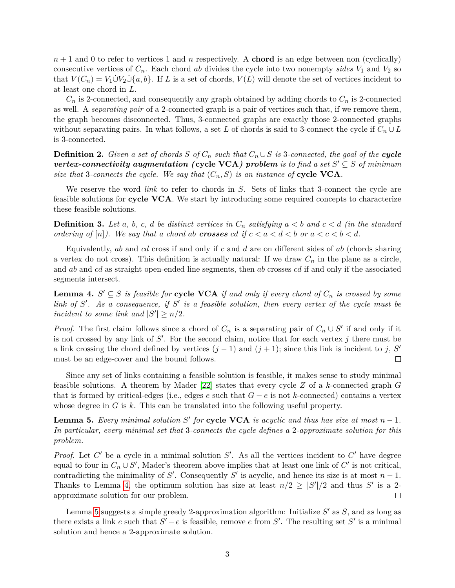*n* + 1 and 0 to refer to vertices 1 and *n* respectively. A **chord** is an edge between non (cyclically) consecutive vertices of  $C_n$ . Each chord *ab* divides the cycle into two nonempty *sides*  $V_1$  and  $V_2$  so that  $V(C_n) = V_1 \cup V_2 \cup \{a, b\}$ . If *L* is a set of chords,  $V(L)$  will denote the set of vertices incident to at least one chord in *L*.

 $C_n$  is 2-connected, and consequently any graph obtained by adding chords to  $C_n$  is 2-connected as well. A *separating pair* of a 2-connected graph is a pair of vertices such that, if we remove them, the graph becomes disconnected. Thus, 3-connected graphs are exactly those 2-connected graphs without separating pairs. In what follows, a set *L* of chords is said to 3-connect the cycle if  $C_n \cup L$ is 3-connected.

**Definition 2.** *Given a set of chords*  $S$  *of*  $C_n$  *such that*  $C_n \cup S$  *is* 3*-connected, the goal of the cycle vertex-connectivity augmentation (cycle VCA) problem is to find a set*  $S' \subseteq S$  *of minimum size that* 3-connects the cycle. We say that  $(C_n, S)$  is an instance of cycle VCA.

We reserve the word *link* to refer to chords in *S*. Sets of links that 3-connect the cycle are feasible solutions for **cycle VCA**. We start by introducing some required concepts to characterize these feasible solutions.

**Definition 3.** Let a, b, c, d be distinct vertices in  $C_n$  satisfying  $a < b$  and  $c < d$  (in the standard *ordering of*  $[n]$ *). We say that a chord ab crosses cd if*  $c < a < d < b$  *or*  $a < c < b < d$ *.* 

Equivalently, *ab* and *cd* cross if and only if *c* and *d* are on different sides of *ab* (chords sharing a vertex do not cross). This definition is actually natural: If we draw  $C_n$  in the plane as a circle, and *ab* and *cd* as straight open-ended line segments, then *ab* crosses *cd* if and only if the associated segments intersect.

<span id="page-3-0"></span>**Lemma 4.**  $S' \subseteq S$  *is feasible for* **cycle VCA** *if and only if every chord of*  $C_n$  *is crossed by some link of*  $S'$ . As a consequence, if  $S'$  is a feasible solution, then every vertex of the cycle must be *incident to some link and*  $|S'| \geq n/2$ *.* 

*Proof.* The first claim follows since a chord of  $C_n$  is a separating pair of  $C_n \cup S'$  if and only if it is not crossed by any link of  $S'$ . For the second claim, notice that for each vertex  $j$  there must be a link crossing the chord defined by vertices  $(j - 1)$  and  $(j + 1)$ ; since this link is incident to *j*, *S'* must be an edge-cover and the bound follows.  $\Box$ 

Since any set of links containing a feasible solution is feasible, it makes sense to study minimal feasible solutions. A theorem by Mader [\[22\]](#page-19-13) states that every cycle *Z* of a *k*-connected graph *G* that is formed by critical-edges (i.e., edges *e* such that *G* − *e* is not *k*-connected) contains a vertex whose degree in *G* is *k*. This can be translated into the following useful property.

<span id="page-3-1"></span>**Lemma 5.** *Every minimal solution*  $S'$  *for* **cycle VCA** *is acyclic and thus has size at most*  $n - 1$ *. In particular, every minimal set that* 3*-connects the cycle defines a* 2*-approximate solution for this problem.*

*Proof.* Let  $C'$  be a cycle in a minimal solution  $S'$ . As all the vertices incident to  $C'$  have degree equal to four in  $C_n \cup S'$ , Mader's theorem above implies that at least one link of  $C'$  is not critical, contradicting the minimality of *S*<sup> $\prime$ </sup>. Consequently *S*<sup> $\prime$ </sup> is acyclic, and hence its size is at most *n* − 1. Thanks to Lemma [4,](#page-3-0) the optimum solution has size at least  $n/2 \geq |S'|/2$  and thus S' is a 2approximate solution for our problem. П

Lemma [5](#page-3-1) suggests a simple greedy 2-approximation algorithm: Initialize S' as S, and as long as there exists a link *e* such that  $S' - e$  is feasible, remove *e* from  $S'$ . The resulting set  $S'$  is a minimal solution and hence a 2-approximate solution.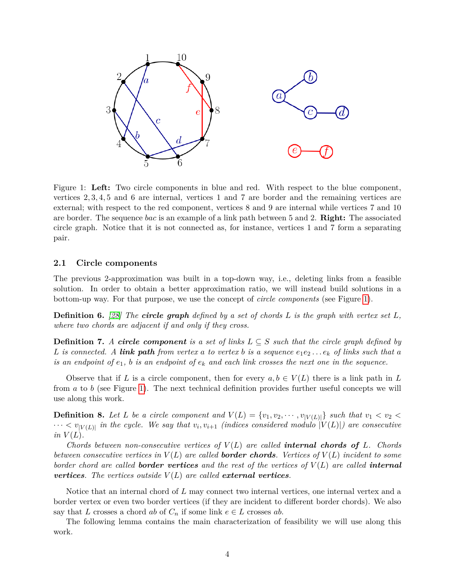<span id="page-4-0"></span>

Figure 1: **Left:** Two circle components in blue and red. With respect to the blue component, vertices 2*,* 3*,* 4*,* 5 and 6 are internal, vertices 1 and 7 are border and the remaining vertices are external; with respect to the red component, vertices 8 and 9 are internal while vertices 7 and 10 are border. The sequence *bac* is an example of a link path between 5 and 2. **Right:** The associated circle graph. Notice that it is not connected as, for instance, vertices 1 and 7 form a separating pair.

#### <span id="page-4-1"></span>**2.1 Circle components**

The previous 2-approximation was built in a top-down way, i.e., deleting links from a feasible solution. In order to obtain a better approximation ratio, we will instead build solutions in a bottom-up way. For that purpose, we use the concept of *circle components* (see Figure [1\)](#page-4-0).

**Definition 6.** *[\[28\]](#page-20-3) The circle graph defined by a set of chords L is the graph with vertex set L, where two chords are adjacent if and only if they cross.*

**Definition 7.** *A circle component* is a set of links  $L \subseteq S$  such that the circle graph defined by *L* is connected. A **link path** from vertex a to vertex b is a sequence  $e_1e_2...e_k$  of links such that a *is an endpoint of*  $e_1$ , *b is an endpoint of*  $e_k$  *and each link crosses the next one in the sequence.* 

Observe that if L is a circle component, then for every  $a, b \in V(L)$  there is a link path in L from *a* to *b* (see Figure [1\)](#page-4-0). The next technical definition provides further useful concepts we will use along this work.

**Definition 8.** Let L be a circle component and  $V(L) = \{v_1, v_2, \dots, v_{|V(L)|}\}\$  such that  $v_1 < v_2 <$  $\cdots$   $\lt v_{|V(L)|}$  in the cycle. We say that  $v_i, v_{i+1}$  (indices considered modulo  $|V(L)|$ ) are consecutive *in*  $V(L)$ .

*Chords between non-consecutive vertices of*  $V(L)$  *are called internal chords of*  $L$ *<i>. Chords between consecutive vertices in*  $V(L)$  *are called border chords. Vertices of*  $V(L)$  *incident to some border chord are called border vertices and the rest of the vertices of V* (*L*) *are called internal vertices. The vertices outside*  $V(L)$  *are called external vertices.* 

Notice that an internal chord of *L* may connect two internal vertices, one internal vertex and a border vertex or even two border vertices (if they are incident to different border chords). We also say that *L* crosses a chord *ab* of  $C_n$  if some link  $e \in L$  crosses *ab*.

The following lemma contains the main characterization of feasibility we will use along this work.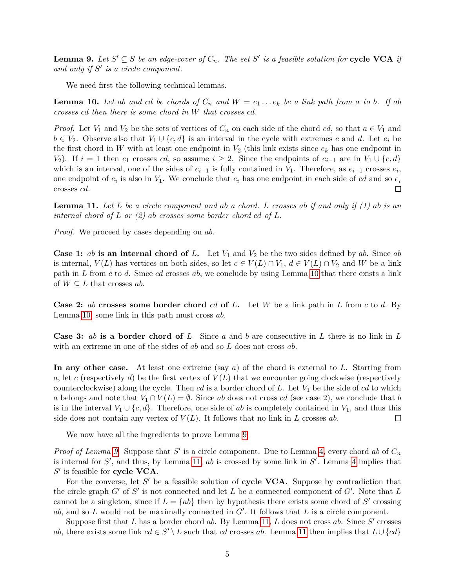<span id="page-5-1"></span>**Lemma 9.** Let  $S' \subseteq S$  be an edge-cover of  $C_n$ . The set  $S'$  is a feasible solution for **cycle VCA** if and only if  $S'$  is a circle component.

We need first the following technical lemmas.

<span id="page-5-0"></span>**Lemma 10.** Let ab and cd be chords of  $C_n$  and  $W = e_1 \dots e_k$  be a link path from a to b. If ab *crosses cd then there is some chord in W that crosses cd.*

*Proof.* Let  $V_1$  and  $V_2$  be the sets of vertices of  $C_n$  on each side of the chord *cd*, so that  $a \in V_1$  and *b* ∈ *V*<sub>2</sub>. Observe also that *V*<sub>1</sub> ∪ {*c, d*} is an interval in the cycle with extremes *c* and *d*. Let  $e_i$  be the first chord in *W* with at least one endpoint in  $V_2$  (this link exists since  $e_k$  has one endpoint in *V*<sub>2</sub>). If  $i = 1$  then  $e_1$  crosses *cd*, so assume  $i \geq 2$ . Since the endpoints of  $e_{i-1}$  are in  $V_1 \cup \{c, d\}$ which is an interval, one of the sides of  $e_{i-1}$  is fully contained in  $V_1$ . Therefore, as  $e_{i-1}$  crosses  $e_i$ , one endpoint of  $e_i$  is also in  $V_1$ . We conclude that  $e_i$  has one endpoint in each side of *cd* and so  $e_i$ crosses *cd*.  $\Box$ 

<span id="page-5-2"></span>**Lemma 11.** *Let L be a circle component and ab a chord. L crosses ab if and only if (1) ab is an internal chord of L or (2) ab crosses some border chord cd of L.*

*Proof.* We proceed by cases depending on *ab*.

**Case 1:** *ab* **is an internal chord of L.** Let  $V_1$  and  $V_2$  be the two sides defined by *ab*. Since *ab* is internal,  $V(L)$  has vertices on both sides, so let  $c \in V(L) \cap V_1$ ,  $d \in V(L) \cap V_2$  and W be a link path in *L* from *c* to *d*. Since *cd* crosses *ab*, we conclude by using Lemma [10](#page-5-0) that there exists a link of  $W \subseteq L$  that crosses *ab*.

**Case 2:** *ab* **crosses some border chord** *cd* **of** *L***.** Let *W* be a link path in *L* from *c* to *d*. By Lemma [10,](#page-5-0) some link in this path must cross *ab*.

**Case 3:** *ab* **is a border chord of** *L* Since *a* and *b* are consecutive in *L* there is no link in *L* with an extreme in one of the sides of *ab* and so *L* does not cross *ab*.

**In any other case.** At least one extreme (say *a*) of the chord is external to *L*. Starting from *a*, let *c* (respectively *d*) be the first vertex of  $V(L)$  that we encounter going clockwise (respectively counterclockwise) along the cycle. Then *cd* is a border chord of *L*. Let *V*<sup>1</sup> be the side of *cd* to which *a* belongs and note that  $V_1 \cap V(L) = \emptyset$ . Since *ab* does not cross *cd* (see case 2), we conclude that *b* is in the interval  $V_1 \cup \{c, d\}$ . Therefore, one side of *ab* is completely contained in  $V_1$ , and thus this side does not contain any vertex of  $V(L)$ . It follows that no link in L crosses ab.  $\Box$ 

We now have all the ingredients to prove Lemma [9.](#page-5-1)

*Proof of Lemma [9.](#page-5-1)* Suppose that  $S'$  is a circle component. Due to Lemma [4,](#page-3-0) every chord *ab* of  $C_n$ is internal for  $S'$ , and thus, by Lemma [11,](#page-5-2)  $ab$  is crossed by some link in  $S'$ . Lemma [4](#page-3-0) implies that  $S'$  is feasible for **cycle VCA**.

For the converse, let S' be a feasible solution of **cycle VCA**. Suppose by contradiction that the circle graph  $G'$  of  $S'$  is not connected and let  $L$  be a connected component of  $G'$ . Note that  $L$ cannot be a singleton, since if  $L = \{ab\}$  then by hypothesis there exists some chord of  $S'$  crossing ab, and so  $L$  would not be maximally connected in  $G'$ . It follows that  $L$  is a circle component.

Suppose first that *L* has a border chord  $ab$ . By Lemma [11,](#page-5-2) *L* does not cross  $ab$ . Since  $S'$  crosses *ab*, there exists some link  $cd \in S' \setminus L$  such that *cd* crosses *ab*. Lemma [11](#page-5-2) then implies that  $L \cup \{cd\}$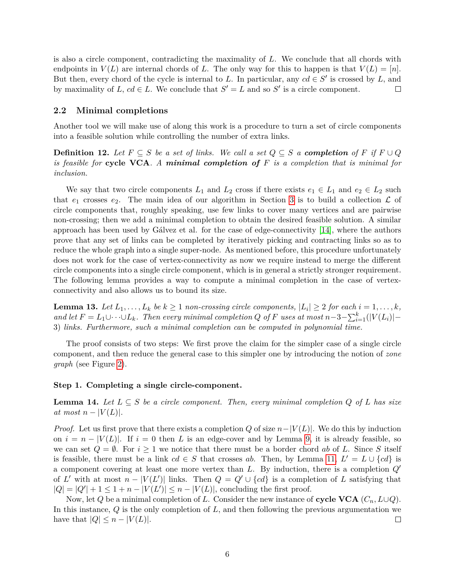is also a circle component, contradicting the maximality of *L*. We conclude that all chords with endpoints in  $V(L)$  are internal chords of L. The only way for this to happen is that  $V(L) = [n]$ . But then, every chord of the cycle is internal to *L*. In particular, any  $cd \in S'$  is crossed by *L*, and by maximality of *L*,  $cd \in L$ . We conclude that  $S' = L$  and so  $S'$  is a circle component.  $\Box$ 

### <span id="page-6-2"></span>**2.2 Minimal completions**

Another tool we will make use of along this work is a procedure to turn a set of circle components into a feasible solution while controlling the number of extra links.

**Definition 12.** Let  $F ⊆ S$  be a set of links. We call a set  $Q ⊆ S$  a *completion* of  $F$  if  $F ∪ Q$ *is feasible for* **cycle VCA***. A minimal completion of F is a completion that is minimal for inclusion.*

We say that two circle components  $L_1$  and  $L_2$  cross if there exists  $e_1 \in L_1$  and  $e_2 \in L_2$  such that  $e_1$  crosses  $e_2$ . The main idea of our algorithm in Section [3](#page-9-0) is to build a collection  $\mathcal L$  of circle components that, roughly speaking, use few links to cover many vertices and are pairwise non-crossing; then we add a minimal completion to obtain the desired feasible solution. A similar approach has been used by Gálvez et al. for the case of edge-connectivity [\[14\]](#page-19-1), where the authors prove that any set of links can be completed by iteratively picking and contracting links so as to reduce the whole graph into a single super-node. As mentioned before, this procedure unfortunately does not work for the case of vertex-connectivity as now we require instead to merge the different circle components into a single circle component, which is in general a strictly stronger requirement. The following lemma provides a way to compute a minimal completion in the case of vertexconnectivity and also allows us to bound its size.

<span id="page-6-1"></span>**Lemma 13.** Let  $L_1, \ldots, L_k$  be  $k \geq 1$  non-crossing circle components,  $|L_i| \geq 2$  for each  $i = 1, \ldots, k$ , *and let*  $F = L_1 ∪ ⋅ ⋅ ∪ L_k$ *. Then every minimal completion*  $Q$  *of*  $F$  *uses at most*  $n-3-∑_{i=1}^k(|V(L_i)|-$ 3) *links. Furthermore, such a minimal completion can be computed in polynomial time.*

The proof consists of two steps: We first prove the claim for the simpler case of a single circle component, and then reduce the general case to this simpler one by introducing the notion of *zone graph* (see Figure [2\)](#page-7-0).

#### **Step 1. Completing a single circle-component.**

<span id="page-6-0"></span>**Lemma 14.** Let  $L \subseteq S$  be a circle component. Then, every minimal completion  $Q$  of  $L$  has size *at most*  $n - |V(L)|$ .

*Proof.* Let us first prove that there exists a completion *Q* of size  $n-|V(L)|$ . We do this by induction on  $i = n - |V(L)|$ . If  $i = 0$  then L is an edge-cover and by Lemma [9,](#page-5-1) it is already feasible, so we can set  $Q = \emptyset$ . For  $i \geq 1$  we notice that there must be a border chord *ab* of *L*. Since *S* itself is feasible, there must be a link  $cd \in S$  that crosses *ab*. Then, by Lemma [11,](#page-5-2)  $L' = L \cup \{cd\}$  is a component covering at least one more vertex than *L*. By induction, there is a completion  $Q'$ of *L'* with at most  $n - |V(L')|$  links. Then  $Q = Q' \cup \{cd\}$  is a completion of *L* satisfying that  $|Q| = |Q'| + 1 \leq 1 + n - |V(L')| \leq n - |V(L)|$ , concluding the first proof.

Now, let *Q* be a minimal completion of *L*. Consider the new instance of **cycle VCA**  $(C_n, L\cup Q)$ . In this instance, *Q* is the only completion of *L*, and then following the previous argumentation we have that  $|Q| \leq n - |V(L)|$ .  $\Box$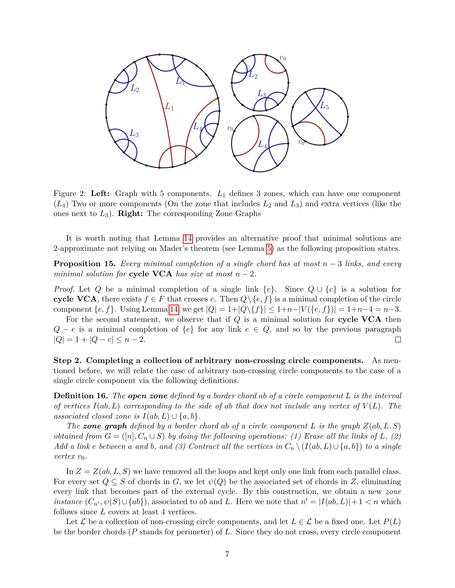<span id="page-7-0"></span>

Figure 2: **Left:** Graph with 5 components. *L*<sup>1</sup> defines 3 zones, which can have one component (*L*4) Two or more components (On the zone that includes *L*<sup>2</sup> and *L*3) and extra vertices (like the ones next to *L*3). **Right:** The corresponding Zone Graphs

It is worth noting that Lemma [14](#page-6-0) provides an alternative proof that minimal solutions are 2-approximate not relying on Mader's theorem (see Lemma [5\)](#page-3-1) as the following proposition states.

<span id="page-7-1"></span>**Proposition 15.** *Every minimal completion of a single chord has at most n* − 3 *links, and every minimal solution for* **cycle VCA** *has size at most*  $n-2$ *.* 

*Proof.* Let *Q* be a minimal completion of a single link  $\{e\}$ . Since  $Q \cup \{e\}$  is a solution for **cycle VCA**, there exists  $f \in F$  that crosses *e*. Then  $Q \setminus \{e, f\}$  is a minimal completion of the circle component  $\{e, f\}$ . Using Lemma [14,](#page-6-0) we get  $|Q| = 1 + |Q \setminus \{f\}| \leq 1 + n - |V(\{e, f\})| = 1 + n - 4 = n - 3$ .

For the second statement, we observe that if *Q* is a minimal solution for **cycle VCA** then *Q* − *e* is a minimal completion of  $\{e\}$  for any link *e* ∈ *Q*, and so by the previous paragraph  $|Q| = 1 + |Q - e| \leq n - 2.$  $\Box$ 

**Step 2. Completing a collection of arbitrary non-crossing circle components.** As mentioned before, we will relate the case of arbitrary non-crossing circle components to the case of a single circle component via the following definitions.

**Definition 16.** *The open zone defined by a border chord ab of a circle component L is the interval of vertices I*(*ab, L*) *corresponding to the side of ab that does not include any vertex of V* (*L*)*. The associated closed zone is*  $I(ab, L) \cup \{a, b\}$ *.* 

*The zone* graph *defined* by a border chord ab of a circle component *L* is the graph  $Z(ab, L, S)$ *obtained from*  $G = ([n], C_n \cup S)$  *by doing the following operations: (1) Erase all the links of*  $L$ *, (2) Add a link e between a and b, and (3) Contract all the vertices in*  $C_n \setminus (I(ab, L) \cup \{a, b\})$  *to a single vertex*  $v_0$ *.* 

In  $Z = Z(ab, L, S)$  we have removed all the loops and kept only one link from each parallel class. For every set  $Q \subseteq S$  of chords in *G*, we let  $\psi(Q)$  be the associated set of chords in *Z*, eliminating every link that becomes part of the external cycle. By this construction, we obtain a new *zone instance*  $(C_{n'}, \psi(S) \cup \{ab\})$ , associated to *ab* and *L*. Here we note that  $n' = |I(ab, L)| + 1 < n$  which follows since *L* covers at least 4 vertices.

Let  $\mathcal L$  be a collection of non-crossing circle components, and let  $L \in \mathcal L$  be a fixed one. Let  $P(L)$ be the border chords (*P* stands for perimeter) of *L*. Since they do not cross, every circle component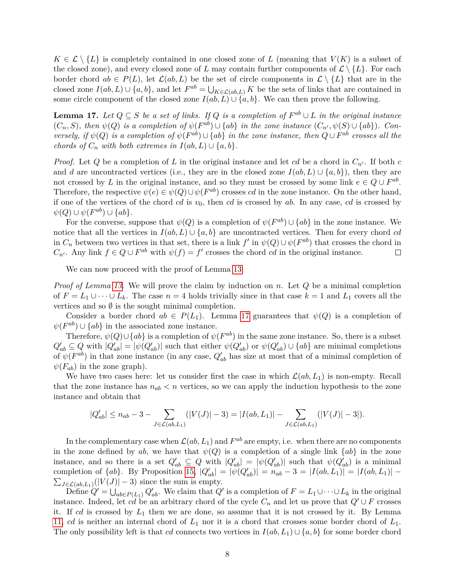$K \in \mathcal{L} \setminus \{L\}$  is completely contained in one closed zone of *L* (meaning that  $V(K)$  is a subset of the closed zone), and every closed zone of *L* may contain further components of  $\mathcal{L} \setminus \{L\}$ . For each border chord  $ab \in P(L)$ , let  $\mathcal{L}(ab, L)$  be the set of circle components in  $\mathcal{L} \setminus \{L\}$  that are in the closed zone  $I(ab, L) \cup \{a, b\}$ , and let  $F^{ab} = \bigcup_{K \in \mathcal{L}(ab, L)} K$  be the sets of links that are contained in some circle component of the closed zone  $I(ab, L) \cup \{a, b\}$ . We can then prove the following.

<span id="page-8-0"></span>**Lemma 17.** *Let*  $Q \subseteq S$  *be a set of links. If*  $Q$  *is a completion of*  $F^{ab} \cup L$  *in the original instance*  $(C_n, S)$ , then  $\psi(Q)$  is a completion of  $\psi(F^{ab}) \cup \{ab\}$  in the zone instance  $(C_{n'}, \psi(S) \cup \{ab\})$ . Con*versely, if*  $\psi(Q)$  *is a completion of*  $\psi(F^{ab}) \cup \{ab\}$  *in the zone instance, then*  $Q \cup F^{ab}$  *crosses all the chords of*  $C_n$  *with both extremes in*  $I(ab, L) \cup \{a, b\}$ *.* 

*Proof.* Let *Q* be a completion of *L* in the original instance and let *cd* be a chord in  $C_{n'}$ . If both *c* and *d* are uncontracted vertices (i.e., they are in the closed zone  $I(ab, L) \cup \{a, b\}$ ), then they are not crossed by *L* in the original instance, and so they must be crossed by some link  $e \in Q \cup F^{ab}$ . Therefore, the respective  $\psi(e) \in \psi(Q) \cup \psi(F^{ab})$  crosses *cd* in the zone instance. On the other hand, if one of the vertices of the chord *cd* is *v*0, then *cd* is crossed by *ab*. In any case, *cd* is crossed by  $\psi(Q) \cup \psi(F^{ab}) \cup \{ab\}.$ 

For the converse, suppose that  $\psi(Q)$  is a completion of  $\psi(F^{ab}) \cup \{ab\}$  in the zone instance. We notice that all the vertices in  $I(ab, L) \cup \{a, b\}$  are uncontracted vertices. Then for every chord *cd* in  $C_n$  between two vertices in that set, there is a link  $f'$  in  $\psi(Q) \cup \psi(F^{ab})$  that crosses the chord in *C*<sub>*n*</sub><sup>*i*</sup>. Any link  $f \in Q \cup F^{ab}$  with  $\psi(f) = f'$  crosses the chord *cd* in the original instance.  $\Box$ 

We can now proceed with the proof of Lemma [13](#page-6-1)

*Proof of Lemma [13.](#page-6-1)* We will prove the claim by induction on *n*. Let *Q* be a minimal completion of  $F = L_1 \cup \cdots \cup L_k$ . The case  $n = 4$  holds trivially since in that case  $k = 1$  and  $L_1$  covers all the vertices and so  $\emptyset$  is the sought minimal completion.

Consider a border chord  $ab \in P(L_1)$ . Lemma [17](#page-8-0) guarantees that  $\psi(Q)$  is a completion of  $\psi(F^{ab}) \cup \{ab\}$  in the associated zone instance.

Therefore,  $\psi(Q) \cup \{ab\}$  is a completion of  $\psi(F^{ab})$  in the same zone instance. So, there is a subset  $Q'_{ab} \subseteq Q$  with  $|Q'_{ab}| = |\psi(Q'_{ab})|$  such that either  $\psi(Q'_{ab})$  or  $\psi(Q'_{ab}) \cup \{ab\}$  are minimal completions of  $\psi(F^{ab})$  in that zone instance (in any case,  $Q'_{ab}$  has size at most that of a minimal completion of  $\psi(F_{ab})$  in the zone graph).

We have two cases here: let us consider first the case in which  $\mathcal{L}(ab, L_1)$  is non-empty. Recall that the zone instance has  $n_{ab} < n$  vertices, so we can apply the induction hypothesis to the zone instance and obtain that

$$
|Q'_{ab}| \le n_{ab} - 3 - \sum_{J \in \mathcal{L}(ab, L_1)} (|V(J)| - 3) = |I(ab, L_1)| - \sum_{J \in \mathcal{L}(ab, L_1)} (|V(J)| - 3|).
$$

In the complementary case when  $\mathcal{L}(ab,L_1)$  and  $F^{ab}$  are empty, i.e. when there are no components in the zone defined by *ab*, we have that  $\psi(Q)$  is a completion of a single link  $\{ab\}$  in the zone instance, and so there is a set  $Q'_{ab} \subseteq Q$  with  $|Q'_{ab}| = |\psi(Q'_{ab})|$  such that  $\psi(Q'_{ab})$  is a minimal completion of  $\{ab\}$ . By Proposition [15,](#page-7-1)  $|Q'_{ab}| = |\psi(Q'_{ab})| = n_{ab} - 3 = |I(ab, L_1)| = |I(ab, L_1)| \sum_{J \in \mathcal{L}(ab, L_1)} (|V(J)| - 3)$  since the sum is empty.

Define  $Q' = \bigcup_{ab \in P(L_1)} Q'_{ab}$ . We claim that  $Q'$  is a completion of  $F = L_1 \cup \cdots \cup L_k$  in the original instance. Indeed, let *cd* be an arbitrary chord of the cycle  $C_n$  and let us prove that  $Q' \cup F$  crosses it. If *cd* is crossed by *L*<sup>1</sup> then we are done, so assume that it is not crossed by it. By Lemma [11,](#page-5-2) *cd* is neither an internal chord of *L*<sup>1</sup> nor it is a chord that crosses some border chord of *L*1. The only possibility left is that *cd* connects two vertices in  $I(ab, L_1) \cup \{a, b\}$  for some border chord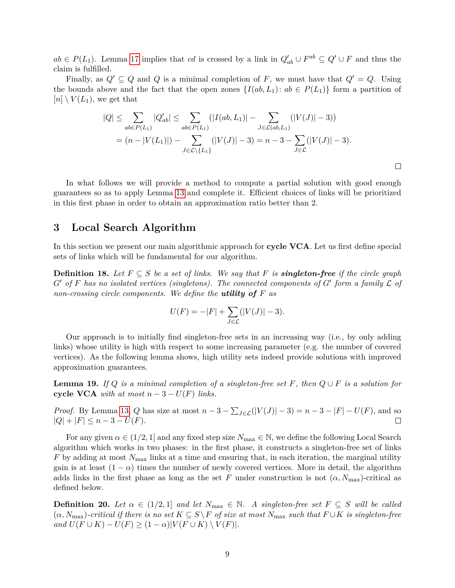*ab* ∈ *P*(*L*<sub>1</sub>). Lemma [17](#page-8-0) implies that *cd* is crossed by a link in  $Q'_{ab} \cup F^{ab} \subseteq Q' \cup F$  and thus the claim is fulfilled.

Finally, as  $Q' \subseteq Q$  and  $Q$  is a minimal completion of  $F$ , we must have that  $Q' = Q$ . Using the bounds above and the fact that the open zones  $\{I(ab, L_1): ab \in P(L_1)\}\)$  form a partition of  $[n] \setminus V(L_1)$ , we get that

$$
|Q| \leq \sum_{ab \in P(L_1)} |Q'_{ab}| \leq \sum_{ab \in P(L_1)} (|I(ab, L_1)| - \sum_{J \in \mathcal{L}(ab, L_1)} (|V(J)| - 3))
$$
  
=  $(n - |V(L_1)|) - \sum_{J \in \mathcal{L} \setminus \{L_1\}} (|V(J)| - 3) = n - 3 - \sum_{J \in \mathcal{L}} (|V(J)| - 3).$ 

 $\Box$ 

In what follows we will provide a method to compute a partial solution with good enough guarantees so as to apply Lemma [13](#page-6-1) and complete it. Efficient choices of links will be prioritized in this first phase in order to obtain an approximation ratio better than 2.

# <span id="page-9-0"></span>**3 Local Search Algorithm**

In this section we present our main algorithmic approach for **cycle VCA**. Let us first define special sets of links which will be fundamental for our algorithm.

**Definition 18.** Let  $F \subseteq S$  be a set of links. We say that F is **singleton-free** if the circle graph  $G'$  of  $F$  has no isolated vertices (singletons). The connected components of  $G'$  form a family  $\mathcal L$  of *non-crossing circle components. We define the utility of F as*

$$
U(F) = -|F| + \sum_{J \in \mathcal{L}} (|V(J)| - 3).
$$

Our approach is to initially find singleton-free sets in an increasing way (i.e., by only adding links) whose utility is high with respect to some increasing parameter (e.g. the number of covered vertices). As the following lemma shows, high utility sets indeed provide solutions with improved approximation guarantees.

<span id="page-9-1"></span>**Lemma 19.** *If*  $Q$  *is a minimal completion of a singleton-free set*  $F$ *, then*  $Q \cup F$  *is a solution for* **cycle VCA** with at most  $n-3-U(F)$  links.

*Proof.* By Lemma [13,](#page-6-1) *Q* has size at most  $n - 3 - \sum_{J \in \mathcal{L}} (|V(J)| - 3) = n - 3 - |F| - U(F)$ , and so  $|Q| + |F| \leq n - 3 - U(F).$ 

For any given  $\alpha \in (1/2, 1]$  and any fixed step size  $N_{\text{max}} \in \mathbb{N}$ , we define the following Local Search algorithm which works in two phases: in the first phase, it constructs a singleton-free set of links *F* by adding at most  $N_{\text{max}}$  links at a time and ensuring that, in each iteration, the marginal utility gain is at least  $(1 - \alpha)$  times the number of newly covered vertices. More in detail, the algorithm adds links in the first phase as long as the set F under construction is not  $(\alpha, N_{\text{max}})$ -critical as defined below.

**Definition 20.** *Let*  $\alpha \in (1/2, 1]$  *and let*  $N_{\text{max}} \in \mathbb{N}$ . A singleton-free set  $F \subseteq S$  will be called  $(\alpha, N_{\text{max}})$ -critical if there is no set  $K \subseteq S \backslash F$  of size at most  $N_{\text{max}}$  such that  $F \cup K$  is singleton-free  $\{and\ U(F\cup K) - U(F) \geq (1-\alpha)|V(F\cup K) \setminus V(F)|\}.$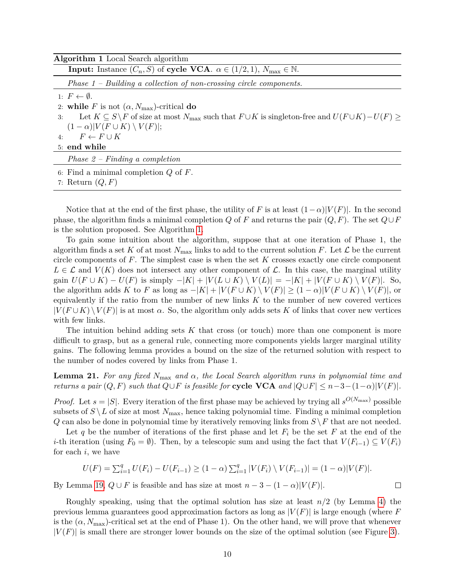<span id="page-10-0"></span>

7: Return (*Q, F*)

Notice that at the end of the first phase, the utility of *F* is at least  $(1-\alpha)|V(F)|$ . In the second phase, the algorithm finds a minimal completion *Q* of *F* and returns the pair  $(Q, F)$ . The set  $Q \cup F$ is the solution proposed. See Algorithm [1.](#page-10-0)

To gain some intuition about the algorithm, suppose that at one iteration of Phase 1, the algorithm finds a set K of at most  $N_{\text{max}}$  links to add to the current solution F. Let  $\mathcal L$  be the current circle components of *F*. The simplest case is when the set *K* crosses exactly one circle component  $L \in \mathcal{L}$  and  $V(K)$  does not intersect any other component of  $\mathcal{L}$ . In this case, the marginal utility  $gain U(F \cup K) - U(F)$  is simply  $-|K| + |V(L \cup K) \setminus V(L)| = -|K| + |V(F \cup K) \setminus V(F)|$ . So, the algorithm adds *K* to *F* as long as  $-|K| + |V(F \cup K) \setminus V(F)| \ge (1 - \alpha)|V(F \cup K) \setminus V(F)|$ , or equivalently if the ratio from the number of new links *K* to the number of new covered vertices  $|V(F \cup K) \setminus V(F)|$  is at most  $\alpha$ . So, the algorithm only adds sets K of links that cover new vertices with few links.

The intuition behind adding sets *K* that cross (or touch) more than one component is more difficult to grasp, but as a general rule, connecting more components yields larger marginal utility gains. The following lemma provides a bound on the size of the returned solution with respect to the number of nodes covered by links from Phase 1.

<span id="page-10-1"></span>**Lemma 21.** *For any fixed N*max *and α, the Local Search algorithm runs in polynomial time and returns a pair*  $(Q, F)$  *such that*  $Q \cup F$  *is feasible for* **cycle VCA** and  $|Q \cup F| \leq n-3-(1-\alpha)|V(F)|$ .

*Proof.* Let  $s = |S|$ . Every iteration of the first phase may be achieved by trying all  $s^{O(N_{\max})}$  possible subsets of  $S \backslash L$  of size at most  $N_{\text{max}}$ , hence taking polynomial time. Finding a minimal completion *Q* can also be done in polynomial time by iteratively removing links from *S* \*F* that are not needed.

Let q be the number of iterations of the first phase and let  $F_i$  be the set  $F$  at the end of the *i*-th iteration (using  $F_0 = \emptyset$ ). Then, by a telescopic sum and using the fact that  $V(F_{i-1}) \subseteq V(F_i)$ for each *i*, we have

$$
U(F) = \sum_{i=1}^{q} U(F_i) - U(F_{i-1}) \ge (1 - \alpha) \sum_{i=1}^{q} |V(F_i) \setminus V(F_{i-1})| = (1 - \alpha)|V(F)|.
$$
  
19.  $Q \cup F$  is feasible and has size at most  $n - 3 - (1 - \alpha)|V(F)|$ .

By Lemma [19,](#page-9-1)  $Q \cup F$  is feasible and has size at most  $n - 3 - (1 - \alpha)|V(F)|$ .

Roughly speaking, using that the optimal solution has size at least *n/*2 (by Lemma [4\)](#page-3-0) the previous lemma guarantees good approximation factors as long as |*V* (*F*)| is large enough (where *F* is the  $(\alpha, N_{\text{max}})$ -critical set at the end of Phase 1). On the other hand, we will prove that whenever  $|V(F)|$  is small there are stronger lower bounds on the size of the optimal solution (see Figure [3\)](#page-11-0).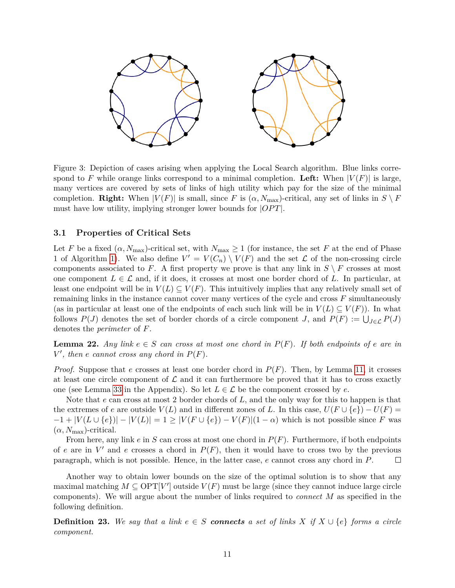<span id="page-11-0"></span>

Figure 3: Depiction of cases arising when applying the Local Search algorithm. Blue links correspond to F while orange links correspond to a minimal completion. Left: When  $|V(F)|$  is large, many vertices are covered by sets of links of high utility which pay for the size of the minimal completion. **Right:** When  $|V(F)|$  is small, since *F* is  $(\alpha, N_{\text{max}})$ -critical, any set of links in  $S \setminus F$ must have low utility, implying stronger lower bounds for  $|OPT|$ .

#### **3.1 Properties of Critical Sets**

Let *F* be a fixed  $(\alpha, N_{\text{max}})$ -critical set, with  $N_{\text{max}} \geq 1$  (for instance, the set *F* at the end of Phase 1 of Algorithm [1\)](#page-10-0). We also define  $V' = V(C_n) \setminus V(F)$  and the set  $\mathcal L$  of the non-crossing circle components associated to *F*. A first property we prove is that any link in  $S \setminus F$  crosses at most one component  $L \in \mathcal{L}$  and, if it does, it crosses at most one border chord of L. In particular, at least one endpoint will be in  $V(L) \subseteq V(F)$ . This intuitively implies that any relatively small set of remaining links in the instance cannot cover many vertices of the cycle and cross *F* simultaneously (as in particular at least one of the endpoints of each such link will be in  $V(L) \subseteq V(F)$ ). In what follows  $P(J)$  denotes the set of border chords of a circle component *J*, and  $P(F) := \bigcup_{J \in \mathcal{L}} P(J)$ denotes the *perimeter* of *F*.

<span id="page-11-1"></span>**Lemma 22.** *Any link*  $e \in S$  *can cross at most one chord in*  $P(F)$ *. If both endpoints of*  $e$  *are in*  $V'$ , then *e* cannot cross any chord in  $P(F)$ .

*Proof.* Suppose that *e* crosses at least one border chord in  $P(F)$ . Then, by Lemma [11,](#page-5-2) it crosses at least one circle component of  $\mathcal L$  and it can furthermore be proved that it has to cross exactly one (see Lemma [33](#page-21-0) in the Appendix). So let  $L \in \mathcal{L}$  be the component crossed by *e*.

Note that *e* can cross at most 2 border chords of *L*, and the only way for this to happen is that the extremes of *e* are outside  $V(L)$  and in different zones of *L*. In this case,  $U(F \cup \{e\}) - U(F) =$  $-1 + |V(L \cup \{e\})| - |V(L)| = 1 \ge |V(F \cup \{e\}) - V(F)| (1 - \alpha)$  which is not possible since *F* was  $(\alpha, N_{\text{max}})$ -critical.

From here, any link *e* in *S* can cross at most one chord in *P*(*F*). Furthermore, if both endpoints of *e* are in  $V'$  and *e* crosses a chord in  $P(F)$ , then it would have to cross two by the previous paragraph, which is not possible. Hence, in the latter case, *e* cannot cross any chord in *P*.  $\Box$ 

Another way to obtain lower bounds on the size of the optimal solution is to show that any maximal matching  $M \subseteq \text{OPT}[V']$  outside  $V(F)$  must be large (since they cannot induce large circle components). We will argue about the number of links required to *connect M* as specified in the following definition.

**Definition 23.** We say that a link  $e \in S$  **connects** a set of links  $X$  if  $X \cup \{e\}$  forms a circle *component.*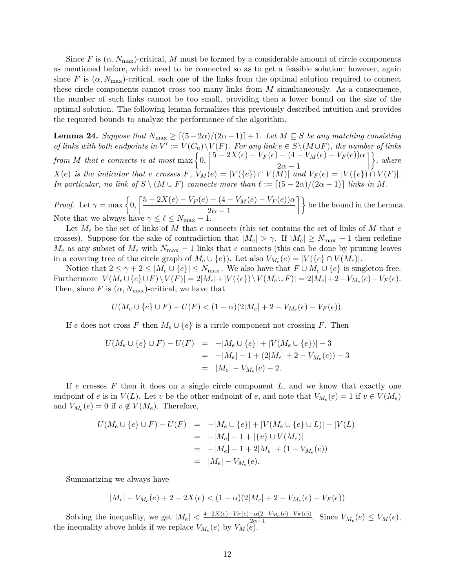Since *F* is  $(\alpha, N_{\text{max}})$ -critical, *M* must be formed by a considerable amount of circle components as mentioned before, which need to be connected so as to get a feasible solution; however, again since F is  $(\alpha, N_{\text{max}})$ -critical, each one of the links from the optimal solution required to connect these circle components cannot cross too many links from *M* simultaneously. As a consequence, the number of such links cannot be too small, providing then a lower bound on the size of the optimal solution. The following lemma formalizes this previously described intuition and provides the required bounds to analyze the performance of the algorithm.

<span id="page-12-0"></span>**Lemma 24.** *Suppose that*  $N_{\text{max}} \geq \left[ (5 - 2\alpha)/(2\alpha - 1) \right] + 1$ *. Let*  $M \subseteq S$  *be any matching consisting* of links with both endpoints in  $V' := V(C_n) \setminus V(F)$ . For any link  $e \in S \setminus (M \cup F)$ , the number of links *from M that e connects is at most* max  $\left\{0, \left[\frac{5 - 2X(e) - V_F(e) - (4 - V_M(e) - V_F(e))\alpha}{2}\right]\right\}$  $\left\{\frac{-(4-V_M(e)-V_F(e))\alpha}{2\alpha-1}\right\},\,where$  $X(e)$  is the indicator that e crosses F,  $V_M(e) = |V(\lbrace e \rbrace) \cap V(M)|$  and  $V_F(e) = |V(\lbrace e \rbrace) \cap V(F)|$ . *In particular, no link of*  $S \setminus (M \cup F)$  *connects more than*  $\ell := [(5 - 2\alpha)/(2\alpha - 1)]$  *links in M*.

*Proof.* Let  $\gamma = \max\left\{0, \left[\frac{5 - 2X(e) - V_F(e) - (4 - V_M(e) - V_F(e))\alpha}{2}\right]\right\}$  $\left\{\frac{-(4-V_M(e)-V_F(e))\alpha}{2\alpha-1}\right\}$  be the bound in the Lemma. Note that we always have  $\gamma \leq \ell \leq N_{\text{max}} - 1$ .

Let *M<sup>e</sup>* be the set of links of *M* that *e* connects (this set contains the set of links of *M* that *e* crosses). Suppose for the sake of contradiction that  $|M_e| > \gamma$ . If  $|M_e| \ge N_{\text{max}} - 1$  then redefine  $M_e$  as any subset of  $M_e$  with  $N_{\text{max}} - 1$  links that *e* connects (this can be done by pruning leaves in a covering tree of the circle graph of  $M_e \cup \{e\}$ ). Let also  $V_{M_e}(e) = |V(\{e\} \cap V(M_e)|$ .

Notice that  $2 \leq \gamma + 2 \leq |M_e \cup \{e\}| \leq N_{\text{max}}$ . We also have that  $F \cup M_e \cup \{e\}$  is singleton-free. Furthermore  $|V(M_e \cup \{e\} \cup F) \setminus V(F)| = 2|M_e| + |V(\{e\}) \setminus V(M_e \cup F)| = 2|M_e| + 2 - V_{M_e}(e) - V_F(e)$ . Then, since  $F$  is  $(\alpha, N_{\text{max}})$ -critical, we have that

$$
U(M_e \cup \{e\} \cup F) - U(F) < (1 - \alpha)(2|M_e| + 2 - V_{M_e}(e) - V_F(e)).
$$

If *e* does not cross *F* then  $M_e \cup \{e\}$  is a circle component not crossing *F*. Then

$$
U(M_e \cup \{e\} \cup F) - U(F) = -|M_e \cup \{e\}| + |V(M_e \cup \{e\})| - 3
$$
  
= -|M\_e| - 1 + (2|M\_e| + 2 - V\_{M\_e}(e)) - 3  
= |M\_e| - V\_{M\_e}(e) - 2.

If *e* crosses *F* then it does on a single circle component *L*, and we know that exactly one endpoint of *e* is in  $V(L)$ . Let *v* be the other endpoint of *e*, and note that  $V_{M_e}(e) = 1$  if  $v \in V(M_e)$ and  $V_{M_e}(e) = 0$  if  $v \notin V(M_e)$ . Therefore,

$$
U(M_e \cup \{e\} \cup F) - U(F) = -|M_e \cup \{e\}| + |V(M_e \cup \{e\} \cup L)| - |V(L)|
$$
  
= -|M\_e| - 1 + |\{v\} \cup V(M\_e)|  
= -|M\_e| - 1 + 2|M\_e| + (1 - V\_{M\_e}(e))  
= |M\_e| - V\_{M\_e}(e).

Summarizing we always have

$$
|M_e| - V_{M_e}(e) + 2 - 2X(e) < (1 - \alpha)(2|M_e| + 2 - V_{M_e}(e) - V_F(e))
$$

Solving the inequality, we get  $|M_e| < \frac{4-2X(e)-V_F(e)-\alpha(2-V_{Me}(e)-V_F(e))}{2\alpha-1}$  $\frac{-\alpha(2-V_M_e(e)-V_F(e))}{2\alpha-1}$ . Since  $V_{M_e}(e) \leq V_M(e)$ , the inequality above holds if we replace  $V_{M_e}(e)$  by  $V_M(e)$ .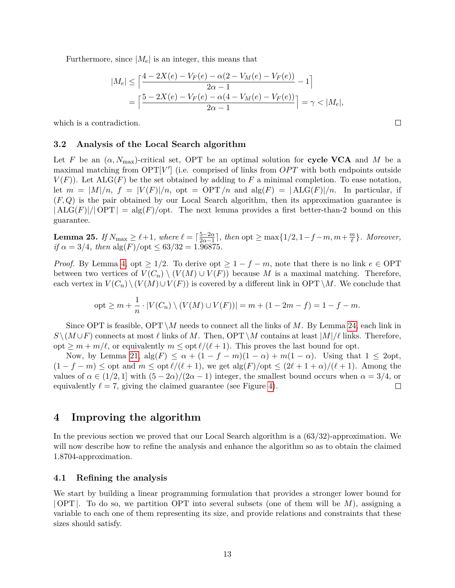Furthermore, since  $|M_e|$  is an integer, this means that

$$
|M_e| \le \left\lceil \frac{4 - 2X(e) - V_F(e) - \alpha(2 - V_M(e) - V_F(e))}{2\alpha - 1} - 1 \right\rceil
$$
  
= 
$$
\left\lceil \frac{5 - 2X(e) - V_F(e) - \alpha(4 - V_M(e) - V_F(e))}{2\alpha - 1} \right\rceil = \gamma < |M_e|,
$$

 $\Box$ 

which is a contradiction.

#### **3.2 Analysis of the Local Search algorithm**

Let *F* be an  $(\alpha, N_{\text{max}})$ -critical set, OPT be an optimal solution for **cycle VCA** and *M* be a maximal matching from  $\text{OPT}[V']$  (i.e. comprised of links from  $OPT$  with both endpoints outside  $V(F)$ ). Let  $\text{ALG}(F)$  be the set obtained by adding to F a minimal completion. To ease notation, let  $m = |M|/n$ ,  $f = |V(F)|/n$ ,  $opt = OPT/n$  and  $alg(F) = |ALG(F)|/n$ . In particular, if (*F, Q*) is the pair obtained by our Local Search algorithm, then its approximation guarantee is  $|{\rm ALG}(F)|/|{\rm OPT}| = {\rm alg}(F)/{\rm opt}$ . The next lemma provides a first better-than-2 bound on this guarantee.

<span id="page-13-1"></span>**Lemma 25.** *If*  $N_{\text{max}} \geq \ell + 1$ *, where*  $\ell = \lceil \frac{5 - 2\alpha}{2\alpha - 1} \rceil$  $\frac{5-2\alpha}{2\alpha-1}$ , then opt  $\geq \max\{1/2, 1-f-m, m+\frac{m}{\ell}\}$ *`* }*. Moreover,*  $if \alpha = 3/4$ *, then*  $alg(F)/opt \leq 63/32 = 1.96875$ *.* 

*Proof.* By Lemma [4,](#page-3-0) opt  $\geq 1/2$ . To derive opt  $\geq 1 - f - m$ , note that there is no link  $e \in \text{OPT}$ between two vertices of  $V(C_n) \setminus (V(M) \cup V(F))$  because M is a maximal matching. Therefore, each vertex in  $V(C_n) \setminus (V(M) \cup V(F))$  is covered by a different link in OPT \M. We conclude that

$$
opt \ge m + \frac{1}{n} \cdot |V(C_n) \setminus (V(M) \cup V(F))| = m + (1 - 2m - f) = 1 - f - m.
$$

Since OPT is feasible,  $\text{OPT} \setminus M$  needs to connect all the links of *M*. By Lemma [24,](#page-12-0) each link in *S* \( $M \cup F$ ) connects at most  $\ell$  links of *M*. Then, OPT \*M* contains at least  $|M|/\ell$  links. Therefore, opt  $\geq m + m/\ell$ , or equivalently  $m \leq \text{opt } \ell/(\ell + 1)$ . This proves the last bound for opt.

Now, by Lemma [21,](#page-10-1)  $\text{alg}(F) \leq \alpha + (1 - f - m)(1 - \alpha) + m(1 - \alpha)$ . Using that  $1 \leq 2$ opt,  $(1 - f - m)$  ≤ opt and  $m \leq$  opt  $\ell/(\ell + 1)$ , we get alg(*F*)/opt ≤  $(2\ell + 1 + \alpha)/(\ell + 1)$ . Among the values of  $\alpha \in (1/2, 1]$  with  $(5 - 2\alpha)/(2\alpha - 1)$  integer, the smallest bound occurs when  $\alpha = 3/4$ , or equivalently  $\ell = 7$ , giving the claimed guarantee (see Figure [4\)](#page-14-0).  $\Box$ 

# <span id="page-13-0"></span>**4 Improving the algorithm**

In the previous section we proved that our Local Search algorithm is a (63*/*32)-approximation. We will now describe how to refine the analysis and enhance the algorithm so as to obtain the claimed 1*.*8704-approximation.

#### **4.1 Refining the analysis**

We start by building a linear programming formulation that provides a stronger lower bound for | OPT |. To do so, we partition OPT into several subsets (one of them will be *M*), assigning a variable to each one of them representing its size, and provide relations and constraints that these sizes should satisfy.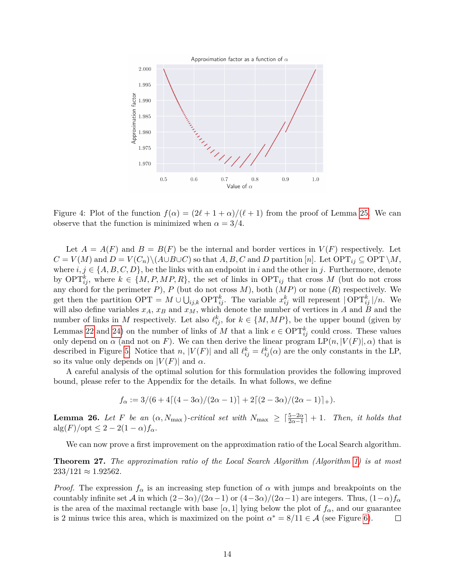<span id="page-14-0"></span>

Figure 4: Plot of the function  $f(\alpha) = (2\ell + 1 + \alpha)/(\ell + 1)$  from the proof of Lemma [25.](#page-13-1) We can observe that the function is minimized when  $\alpha = 3/4$ .

Let  $A = A(F)$  and  $B = B(F)$  be the internal and border vertices in  $V(F)$  respectively. Let  $C = V(M)$  and  $D = V(C_n) \setminus (A \cup B \cup C)$  so that *A, B, C* and *D* partition [*n*]. Let  $\text{OPT}_{ij} \subseteq \text{OPT} \setminus M$ , where  $i, j \in \{A, B, C, D\}$ , be the links with an endpoint in *i* and the other in *j*. Furthermore, denote by  $\text{OPT}_{ij}^k$ , where  $k \in \{M, P, MP, R\}$ , the set of links in  $\text{OPT}_{ij}$  that cross M (but do not cross any chord for the perimeter  $P$ ),  $P$  (but do not cross  $M$ ), both  $(MP)$  or none  $(R)$  respectively. We get then the partition  $\text{OPT} = M \cup \bigcup_{ij,k} \text{OPT}_{ij}^k$ . The variable  $x_{ij}^k$  will represent  $|\text{OPT}_{ij}^k|/n$ . We will also define variables  $x_A$ ,  $x_B$  and  $x_M$ , which denote the number of vertices in *A* and *B* and the number of links in *M* respectively. Let also  $\ell_{ij}^k$ , for  $k \in \{M, MP\}$ , be the upper bound (given by Lemmas [22](#page-11-1) and [24\)](#page-12-0) on the number of links of *M* that a link  $e \in \text{OPT}_{ij}^k$  could cross. These values only depend on  $\alpha$  (and not on *F*). We can then derive the linear program  $LP(n, |V(F)|, \alpha)$  that is described in Figure [5.](#page-15-0) Notice that *n*,  $|V(F)|$  and all  $\ell_{ij}^k = \ell_{ij}^k(\alpha)$  are the only constants in the LP, so its value only depends on  $|V(F)|$  and  $\alpha$ .

A careful analysis of the optimal solution for this formulation provides the following improved bound, please refer to the Appendix for the details. In what follows, we define

$$
f_{\alpha} := 3/(6 + 4[(4 - 3\alpha)/(2\alpha - 1)] + 2[(2 - 3\alpha)/(2\alpha - 1)]_{+}).
$$

<span id="page-14-1"></span>**Lemma 26.** *Let F be an*  $(\alpha, N_{\text{max}})$ *-critical set with*  $N_{\text{max}} \geq \lceil \frac{5-2\alpha}{2\alpha-1} \rceil + 1$ *. Then, it holds that*  $\text{alg}(F)/\text{opt} \leq 2 - 2(1-\alpha)f_\alpha.$ 

We can now prove a first improvement on the approximation ratio of the Local Search algorithm.

**Theorem 27.** *The approximation ratio of the Local Search Algorithm (Algorithm [1\)](#page-10-0) is at most*  $233/121 \approx 1.92562$ .

*Proof.* The expression  $f_\alpha$  is an increasing step function of  $\alpha$  with jumps and breakpoints on the countably infinite set A in which  $(2-3\alpha)/(2\alpha-1)$  or  $(4-3\alpha)/(2\alpha-1)$  are integers. Thus,  $(1-\alpha)f_{\alpha}$ is the area of the maximal rectangle with base  $\alpha$ , 1 lying below the plot of  $f_{\alpha}$ , and our guarantee is 2 minus twice this area, which is maximized on the point  $\alpha^* = 8/11 \in \mathcal{A}$  (see Figure [6\)](#page-16-0).  $\Box$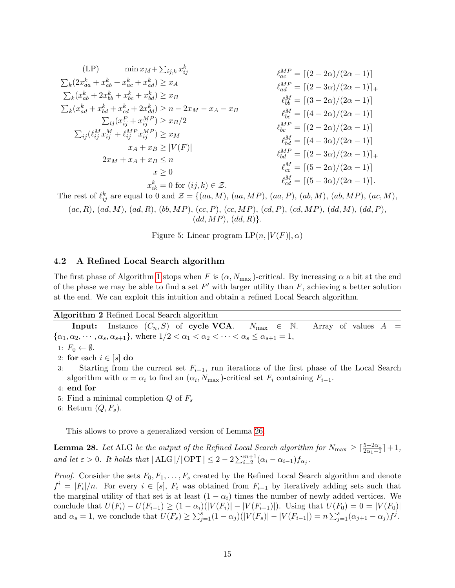<span id="page-15-0"></span>
$$
(LP) \quad \min x_M + \sum_{ij,k} x_{ij}^k
$$
\n
$$
\sum_{k} (2x_{aa}^k + x_{ab}^k + x_{ac}^k + x_{ad}^k) \ge x_A
$$
\n
$$
\sum_{k} (x_{ab}^k + 2x_{bb}^k + x_{bc}^k + x_{bd}^k) \ge x_B
$$
\n
$$
\sum_{k} (x_{ad}^k + x_{bd}^k + x_{cd}^k + 2x_{dd}^k) \ge x_B
$$
\n
$$
\sum_{ij} (x_{ij}^P + x_{ij}^M) \ge x_B
$$
\n
$$
\sum_{ij} (x_{ij}^P + x_{ij}^M) \ge x_B/2
$$
\n
$$
\sum_{ij} (\ell_{ij}^M x_{ij}^M + \ell_{ij}^M x_{ij}^M) \ge x_M
$$
\n
$$
\sum_{k} (M_{ij}^M x_{ik}^M + M_{ij}^M x_{ij}^M) \ge x_M
$$
\n
$$
\sum_{k} (M_{ij}^M x_{ik}^M + M_{ij}^M x_{ij}^M) \ge x_M
$$
\n
$$
\sum_{k} (M_{ij}^M x_{ik}^M + M_{ij}^M x_{ij}^M) \ge x_M
$$
\n
$$
\sum_{k} (M_{ij}^M x_{ik}^M + M_{ij}^M x_{ij}^M) \ge x_M
$$
\n
$$
\sum_{k} (M_{ij}^M x_{ik}^M + M_{ij}^M x_{ij}^M) \ge x_M
$$
\n
$$
\sum_{k} (M_{ij}^M x_{ik}^M) \ge x_M
$$
\n
$$
\sum_{k} (M_{ij}^M x_{ik}^M) \ge x_M
$$
\n
$$
\sum_{k} (M_{ij}^M x_{ik}^M) \ge x_M
$$
\n
$$
\sum_{k} (M_{ij}^M x_{ik}^M) \ge x_M
$$
\n
$$
\sum_{k} (M_{ij}^M x_{ik}^M) \ge x_M
$$
\n
$$
\sum_{k} (M_{ij}^M x_{ik}^M) \ge x_M
$$
\n
$$
\sum_{k} (M_{ij}^M x_{ik}^M) \ge x_M
$$
\n
$$
\sum_{k} (M_{ij}^M x_{ik}^M) \
$$

The rest of  $\ell_{ij}^k$  are equal to 0 and  $\mathcal{Z} = \{(aa, M), (aa, MP), (aa, P), (ab, M), (ab, MP), (ac, M),\}$ (*ac, R*), (*ad, M*), (*ad, R*), (*bb, MP*), (*cc, P*), (*cc, MP*), (*cd, P*), (*cd, MP*), (*dd, M*), (*dd, P*),  $(dd, MP)$ ,  $(dd, R)$ .

Figure 5: Linear program  $LP(n, |V(F)|, \alpha)$ 

#### **4.2 A Refined Local Search algorithm**

The first phase of Algorithm [1](#page-10-0) stops when *F* is  $(\alpha, N_{\text{max}})$ -critical. By increasing  $\alpha$  a bit at the end of the phase we may be able to find a set  $F'$  with larger utility than  $F$ , achieving a better solution at the end. We can exploit this intuition and obtain a refined Local Search algorithm.

**Algorithm 2** Refined Local Search algorithm

**Input:** Instance  $(C_n, S)$  of **cycle VCA**.  $N_{\text{max}} \in \mathbb{N}$ . Array of values  $A =$  $\{\alpha_1, \alpha_2, \cdots, \alpha_s, \alpha_{s+1}\},\$  where  $1/2 < \alpha_1 < \alpha_2 < \cdots < \alpha_s \le \alpha_{s+1} = 1,$ 1:  $F_0 \leftarrow \emptyset$ . 2: **for** each  $i \in [s]$  **do** 3: Starting from the current set *Fi*−1, run iterations of the first phase of the Local Search algorithm with  $\alpha = \alpha_i$  to find an  $(\alpha_i, N_{\text{max}})$ -critical set  $F_i$  containing  $F_{i-1}$ . 4: **end for** 5: Find a minimal completion *Q* of *F<sup>s</sup>* 6: Return (*Q, Fs*).

This allows to prove a generalized version of Lemma [26.](#page-14-1)

<span id="page-15-1"></span>**Lemma 28.** *Let* ALG *be the output of the Refined Local Search algorithm for*  $N_{\text{max}} \geq \lceil \frac{5-2\alpha_1}{2\alpha_1-1} \rceil + 1$ , *and let*  $\varepsilon > 0$ *. It holds that*  $|\text{ALG}|/|\text{OPT}| \leq 2 - 2\sum_{i=2}^{m+1} (\alpha_i - \alpha_{i-1})f_{\alpha_i}$ .

*Proof.* Consider the sets  $F_0, F_1, \ldots, F_s$  created by the Refined Local Search algorithm and denote  $f^{i} = |F_{i}|/n$ . For every  $i \in [s]$ ,  $F_{i}$  was obtained from  $F_{i-1}$  by iteratively adding sets such that the marginal utility of that set is at least  $(1 - \alpha_i)$  times the number of newly added vertices. We conclude that  $U(F_i) - U(F_{i-1}) \geq (1 - \alpha_i)(|V(F_i)| - |V(F_{i-1})|)$ . Using that  $U(F_0) = 0 = |V(F_0)|$ and  $\alpha_s = 1$ , we conclude that  $U(F_s) \ge \sum_{j=1}^s (1 - \alpha_j)(|V(F_s)| - |V(F_{i-1}|) = n \sum_{j=1}^s (\alpha_{j+1} - \alpha_j) f^j$ .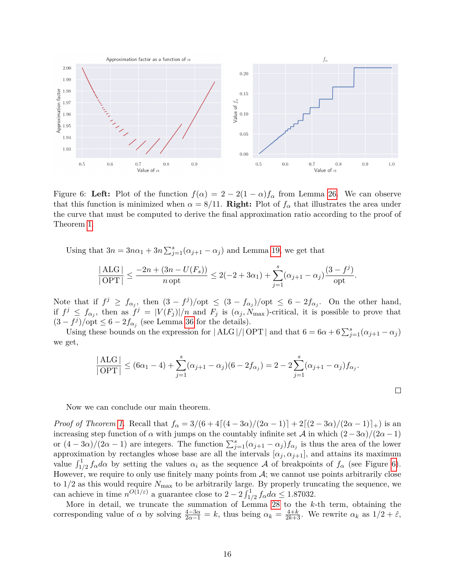<span id="page-16-0"></span>

Figure 6: Left: Plot of the function  $f(\alpha) = 2 - 2(1 - \alpha)f_\alpha$  from Lemma [26.](#page-14-1) We can observe that this function is minimized when  $\alpha = 8/11$ . **Right:** Plot of  $f_{\alpha}$  that illustrates the area under the curve that must be computed to derive the final approximation ratio according to the proof of Theorem [1.](#page-1-1)

Using that  $3n = 3n\alpha_1 + 3n \sum_{j=1}^s (\alpha_{j+1} - \alpha_j)$  and Lemma [19,](#page-9-1) we get that

$$
\frac{|\text{ALG}|}{|\text{OPT}|} \le \frac{-2n + (3n - U(F_s))}{n \text{ opt}} \le 2(-2 + 3\alpha_1) + \sum_{j=1}^s (\alpha_{j+1} - \alpha_j) \frac{(3 - f^j)}{\text{opt}}.
$$

Note that if  $f^j \ge f_{\alpha_j}$ , then  $(3 - f^j)/\text{opt} \le (3 - f_{\alpha_j})/\text{opt} \le 6 - 2f_{\alpha_j}$ . On the other hand, if  $f^j \leq f_{\alpha_j}$ , then as  $f^j = |V(F_j)|/n$  and  $F_j$  is  $(\alpha_j, \tilde{N}_{\text{max}})$ -critical, it is possible to prove that  $(3 - f<sup>j</sup>)/$ opt  $\leq 6 - 2f<sub>\alpha_j</sub>$  (see Lemma [36](#page-24-0) for the details).

Using these bounds on the expression for  $|ALG|/|\text{OPT}|$  and that  $6 = 6\alpha + 6\sum_{j=1}^{s}(\alpha_{j+1} - \alpha_j)$ we get,

$$
\frac{|\text{ALG}|}{|\text{OPT}|} \leq (6\alpha_1 - 4) + \sum_{j=1}^{s} (\alpha_{j+1} - \alpha_j)(6 - 2f_{\alpha_j}) = 2 - 2\sum_{j=1}^{s} (\alpha_{j+1} - \alpha_j)f_{\alpha_j}.
$$

 $\Box$ 

Now we can conclude our main theorem.

*Proof of Theorem [1.](#page-1-1)* Recall that  $f_{\alpha} = 3/(6 + 4[(4 - 3\alpha)/(2\alpha - 1)] + 2[(2 - 3\alpha)/(2\alpha - 1)]_+)$  is an increasing step function of  $\alpha$  with jumps on the countably infinite set  $\mathcal{A}$  in which  $(2-3\alpha)/(2\alpha-1)$ or  $(4-3\alpha)/(2\alpha-1)$  are integers. The function  $\sum_{j=1}^{s}(\alpha_{j+1}-\alpha_j)f_{\alpha_j}$  is thus the area of the lower approximation by rectangles whose base are all the intervals  $[\alpha_j, \alpha_{j+1}]$ , and attains its maximum value  $\int_{1/2}^{1} f_{\alpha} d\alpha$  by setting the values  $\alpha_i$  as the sequence A of breakpoints of  $f_{\alpha}$  (see Figure [6\)](#page-16-0). However, we require to only use finitely many points from  $A$ ; we cannot use points arbitrarily close to 1*/*2 as this would require *N*max to be arbitrarily large. By properly truncating the sequence, we can achieve in time  $n^{O(1/\varepsilon)}$  a guarantee close to  $2-2\int_{1/2}^{1} f_{\alpha} d\alpha \leq 1.87032$ .

More in detail, we truncate the summation of Lemma [28](#page-15-1) to the *k*-th term, obtaining the corresponding value of  $\alpha$  by solving  $\frac{4-3\alpha}{2\alpha-1} = k$ , thus being  $\alpha_k = \frac{4+k}{2k+3}$ . We rewrite  $\alpha_k$  as  $1/2 + \hat{\varepsilon}$ ,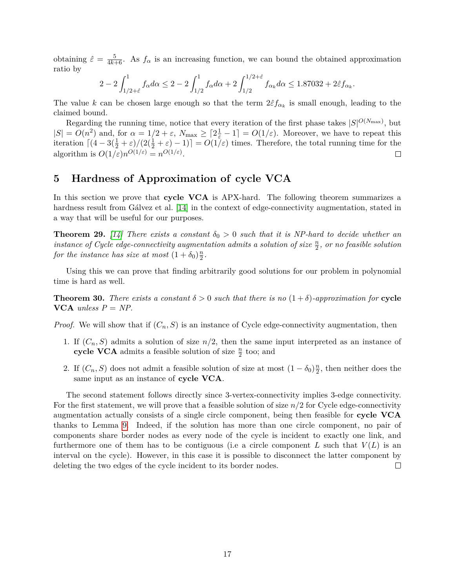obtaining  $\hat{\varepsilon} = \frac{5}{4k+6}$ . As  $f_{\alpha}$  is an increasing function, we can bound the obtained approximation ratio by

$$
2 - 2 \int_{1/2 + \hat{\varepsilon}}^{1} f_{\alpha} d\alpha \le 2 - 2 \int_{1/2}^{1} f_{\alpha} d\alpha + 2 \int_{1/2}^{1/2 + \hat{\varepsilon}} f_{\alpha_k} d\alpha \le 1.87032 + 2\hat{\varepsilon} f_{\alpha_k}.
$$

The value *k* can be chosen large enough so that the term  $2\hat{\epsilon}f_{\alpha_k}$  is small enough, leading to the claimed bound.

Regarding the running time, notice that every iteration of the first phase takes  $|S|^{O(N_{\text{max}})}$ , but  $|S| = O(n^2)$  and, for  $\alpha = 1/2 + \varepsilon$ ,  $N_{\text{max}} \geq \lceil 2\frac{1}{\varepsilon} - 1 \rceil = O(1/\varepsilon)$ . Moreover, we have to repeat this iteration  $\left[\left(4-3\left(\frac{1}{2}+\varepsilon\right)/\left(2\left(\frac{1}{2}+\varepsilon\right)-1\right)\right] = O(1/\varepsilon)$  times. Therefore, the total running time for the algorithm is  $O(1/\varepsilon)n^{O(1/\varepsilon)} = n^{O(1/\varepsilon)}$ .  $\Box$ 

# <span id="page-17-0"></span>**5 Hardness of Approximation of cycle VCA**

In this section we prove that **cycle VCA** is APX-hard. The following theorem summarizes a hardness result from Gálvez et al. [\[14\]](#page-19-1) in the context of edge-connectivity augmentation, stated in a way that will be useful for our purposes.

**Theorem 29.** [\[14\]](#page-19-1) There exists a constant  $\delta_0 > 0$  such that it is NP-hard to decide whether an  $\frac{n}{2}$ , or no feasible solution atmits a solution of size  $\frac{n}{2}$ , or no feasible solution *for the instance has size at most*  $(1 + \delta_0) \frac{n}{2}$  $\frac{n}{2}$ .

Using this we can prove that finding arbitrarily good solutions for our problem in polynomial time is hard as well.

**Theorem 30.** *There exists a constant*  $\delta > 0$  *such that there is no*  $(1 + \delta)$ *-approximation for* **cycle VCA** *unless*  $P = NP$ .

*Proof.* We will show that if  $(C_n, S)$  is an instance of Cycle edge-connectivity augmentation, then

- 1. If  $(C_n, S)$  admits a solution of size  $n/2$ , then the same input interpreted as an instance of **cycle VCA** admits a feasible solution of size  $\frac{n}{2}$  too; and
- 2. If  $(C_n, S)$  does not admit a feasible solution of size at most  $(1 \delta_0) \frac{n}{2}$  $\frac{n}{2}$ , then neither does the same input as an instance of **cycle VCA**.

The second statement follows directly since 3-vertex-connectivity implies 3-edge connectivity. For the first statement, we will prove that a feasible solution of size *n/*2 for Cycle edge-connectivity augmentation actually consists of a single circle component, being then feasible for **cycle VCA** thanks to Lemma [9.](#page-5-1) Indeed, if the solution has more than one circle component, no pair of components share border nodes as every node of the cycle is incident to exactly one link, and furthermore one of them has to be contiguous (i.e a circle component  $L$  such that  $V(L)$  is an interval on the cycle). However, in this case it is possible to disconnect the latter component by deleting the two edges of the cycle incident to its border nodes.  $\Box$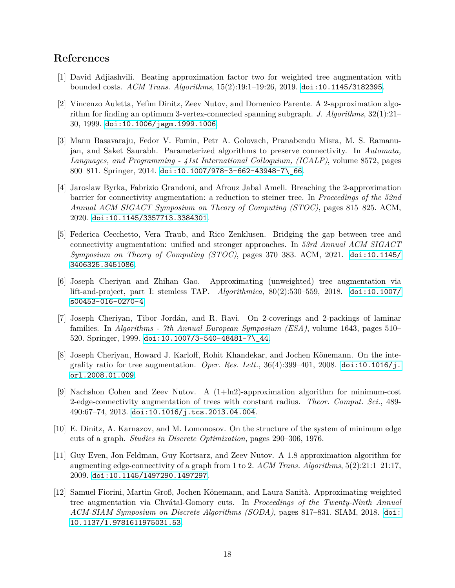# **References**

- <span id="page-18-7"></span>[1] David Adjiashvili. Beating approximation factor two for weighted tree augmentation with bounded costs. *ACM Trans. Algorithms*, 15(2):19:1–19:26, 2019. [doi:10.1145/3182395](https://doi.org/10.1145/3182395).
- <span id="page-18-2"></span>[2] Vincenzo Auletta, Yefim Dinitz, Zeev Nutov, and Domenico Parente. A 2-approximation algorithm for finding an optimum 3-vertex-connected spanning subgraph. *J. Algorithms*, 32(1):21– 30, 1999. [doi:10.1006/jagm.1999.1006](https://doi.org/10.1006/jagm.1999.1006).
- <span id="page-18-10"></span>[3] Manu Basavaraju, Fedor V. Fomin, Petr A. Golovach, Pranabendu Misra, M. S. Ramanujan, and Saket Saurabh. Parameterized algorithms to preserve connectivity. In *Automata, Languages, and Programming - 41st International Colloquium, (ICALP)*, volume 8572, pages 800–811. Springer, 2014. [doi:10.1007/978-3-662-43948-7\\\_66](https://doi.org/10.1007/978-3-662-43948-7_66).
- <span id="page-18-0"></span>[4] Jaroslaw Byrka, Fabrizio Grandoni, and Afrouz Jabal Ameli. Breaching the 2-approximation barrier for connectivity augmentation: a reduction to steiner tree. In *Proccedings of the 52nd Annual ACM SIGACT Symposium on Theory of Computing (STOC)*, pages 815–825. ACM, 2020. [doi:10.1145/3357713.3384301](https://doi.org/10.1145/3357713.3384301).
- <span id="page-18-1"></span>[5] Federica Cecchetto, Vera Traub, and Rico Zenklusen. Bridging the gap between tree and connectivity augmentation: unified and stronger approaches. In *53rd Annual ACM SIGACT Symposium on Theory of Computing (STOC)*, pages 370–383. ACM, 2021. [doi:10.1145/](https://doi.org/10.1145/3406325.3451086) [3406325.3451086](https://doi.org/10.1145/3406325.3451086).
- <span id="page-18-9"></span>[6] Joseph Cheriyan and Zhihan Gao. Approximating (unweighted) tree augmentation via lift-and-project, part I: stemless TAP. *Algorithmica*, 80(2):530–559, 2018. [doi:10.1007/](https://doi.org/10.1007/s00453-016-0270-4) [s00453-016-0270-4](https://doi.org/10.1007/s00453-016-0270-4).
- <span id="page-18-4"></span>[7] Joseph Cheriyan, Tibor Jordán, and R. Ravi. On 2-coverings and 2-packings of laminar families. In *Algorithms - 7th Annual European Symposium (ESA)*, volume 1643, pages 510– 520. Springer, 1999. [doi:10.1007/3-540-48481-7\\\_44](https://doi.org/10.1007/3-540-48481-7_44).
- <span id="page-18-6"></span>[8] Joseph Cheriyan, Howard J. Karloff, Rohit Khandekar, and Jochen Könemann. On the integrality ratio for tree augmentation. *Oper. Res. Lett.*,  $36(4):399-401$ ,  $2008$ . [doi:10.1016/j.](https://doi.org/10.1016/j.orl.2008.01.009) [orl.2008.01.009](https://doi.org/10.1016/j.orl.2008.01.009).
- <span id="page-18-11"></span>[9] Nachshon Cohen and Zeev Nutov. A (1+ln2)-approximation algorithm for minimum-cost 2-edge-connectivity augmentation of trees with constant radius. *Theor. Comput. Sci.*, 489- 490:67–74, 2013. [doi:10.1016/j.tcs.2013.04.004](https://doi.org/10.1016/j.tcs.2013.04.004).
- <span id="page-18-3"></span>[10] E. Dinitz, A. Karnazov, and M. Lomonosov. On the structure of the system of minimum edge cuts of a graph. *Studies in Discrete Optimization*, pages 290–306, 1976.
- <span id="page-18-5"></span>[11] Guy Even, Jon Feldman, Guy Kortsarz, and Zeev Nutov. A 1.8 approximation algorithm for augmenting edge-connectivity of a graph from 1 to 2. *ACM Trans. Algorithms*, 5(2):21:1–21:17, 2009. [doi:10.1145/1497290.1497297](https://doi.org/10.1145/1497290.1497297).
- <span id="page-18-8"></span>[12] Samuel Fiorini, Martin Groß, Jochen Könemann, and Laura Sanità. Approximating weighted tree augmentation via Chvátal-Gomory cuts. In *Proceedings of the Twenty-Ninth Annual ACM-SIAM Symposium on Discrete Algorithms (SODA)*, pages 817–831. SIAM, 2018. [doi:](https://doi.org/10.1137/1.9781611975031.53) [10.1137/1.9781611975031.53](https://doi.org/10.1137/1.9781611975031.53).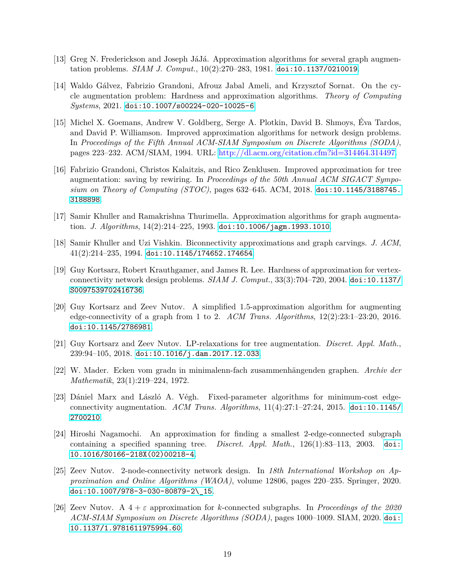- <span id="page-19-2"></span>[13] Greg N. Frederickson and Joseph JáJá. Approximation algorithms for several graph augmentation problems. *SIAM J. Comput.*, 10(2):270–283, 1981. [doi:10.1137/0210019](https://doi.org/10.1137/0210019).
- <span id="page-19-1"></span>[14] Waldo Gálvez, Fabrizio Grandoni, Afrouz Jabal Ameli, and Krzysztof Sornat. On the cycle augmentation problem: Hardness and approximation algorithms. *Theory of Computing Systems*, 2021. [doi:10.1007/s00224-020-10025-6](https://doi.org/10.1007/s00224-020-10025-6).
- <span id="page-19-10"></span>[15] Michel X. Goemans, Andrew V. Goldberg, Serge A. Plotkin, David B. Shmoys, Éva Tardos, and David P. Williamson. Improved approximation algorithms for network design problems. In *Proceedings of the Fifth Annual ACM-SIAM Symposium on Discrete Algorithms (SODA)*, pages 223–232. ACM/SIAM, 1994. URL: [http://dl.acm.org/citation.cfm?id=314464.314497.](http://dl.acm.org/citation.cfm?id=314464.314497)
- <span id="page-19-7"></span>[16] Fabrizio Grandoni, Christos Kalaitzis, and Rico Zenklusen. Improved approximation for tree augmentation: saving by rewiring. In *Proceedings of the 50th Annual ACM SIGACT Symposium on Theory of Computing (STOC)*, pages 632–645. ACM, 2018. [doi:10.1145/3188745.](https://doi.org/10.1145/3188745.3188898) [3188898](https://doi.org/10.1145/3188745.3188898).
- <span id="page-19-9"></span>[17] Samir Khuller and Ramakrishna Thurimella. Approximation algorithms for graph augmentation. *J. Algorithms*, 14(2):214–225, 1993. [doi:10.1006/jagm.1993.1010](https://doi.org/10.1006/jagm.1993.1010).
- <span id="page-19-0"></span>[18] Samir Khuller and Uzi Vishkin. Biconnectivity approximations and graph carvings. *J. ACM*, 41(2):214–235, 1994. [doi:10.1145/174652.174654](https://doi.org/10.1145/174652.174654).
- <span id="page-19-3"></span>[19] Guy Kortsarz, Robert Krauthgamer, and James R. Lee. Hardness of approximation for vertexconnectivity network design problems. *SIAM J. Comput.*, 33(3):704–720, 2004. [doi:10.1137/](https://doi.org/10.1137/S0097539702416736) [S0097539702416736](https://doi.org/10.1137/S0097539702416736).
- <span id="page-19-5"></span>[20] Guy Kortsarz and Zeev Nutov. A simplified 1.5-approximation algorithm for augmenting edge-connectivity of a graph from 1 to 2. *ACM Trans. Algorithms*, 12(2):23:1–23:20, 2016. [doi:10.1145/2786981](https://doi.org/10.1145/2786981).
- <span id="page-19-6"></span>[21] Guy Kortsarz and Zeev Nutov. LP-relaxations for tree augmentation. *Discret. Appl. Math.*, 239:94–105, 2018. [doi:10.1016/j.dam.2017.12.033](https://doi.org/10.1016/j.dam.2017.12.033).
- <span id="page-19-13"></span>[22] W. Mader. Ecken vom gradn in minimalenn-fach zusammenhängenden graphen. *Archiv der Mathematik*, 23(1):219–224, 1972.
- <span id="page-19-8"></span>[23] Dániel Marx and László A. Végh. Fixed-parameter algorithms for minimum-cost edgeconnectivity augmentation. *ACM Trans. Algorithms*, 11(4):27:1–27:24, 2015. [doi:10.1145/](https://doi.org/10.1145/2700210) [2700210](https://doi.org/10.1145/2700210).
- <span id="page-19-4"></span>[24] Hiroshi Nagamochi. An approximation for finding a smallest 2-edge-connected subgraph containing a specified spanning tree. *Discret. Appl. Math.*, 126(1):83–113, 2003. [doi:](https://doi.org/10.1016/S0166-218X(02)00218-4) [10.1016/S0166-218X\(02\)00218-4](https://doi.org/10.1016/S0166-218X(02)00218-4).
- <span id="page-19-12"></span>[25] Zeev Nutov. 2-node-connectivity network design. In *18th International Workshop on Approximation and Online Algorithms (WAOA)*, volume 12806, pages 220–235. Springer, 2020. [doi:10.1007/978-3-030-80879-2\\\_15](https://doi.org/10.1007/978-3-030-80879-2_15).
- <span id="page-19-11"></span>[26] Zeev Nutov. A 4 + *ε* approximation for *k*-connected subgraphs. In *Proceedings of the 2020 ACM-SIAM Symposium on Discrete Algorithms (SODA)*, pages 1000–1009. SIAM, 2020. [doi:](https://doi.org/10.1137/1.9781611975994.60) [10.1137/1.9781611975994.60](https://doi.org/10.1137/1.9781611975994.60).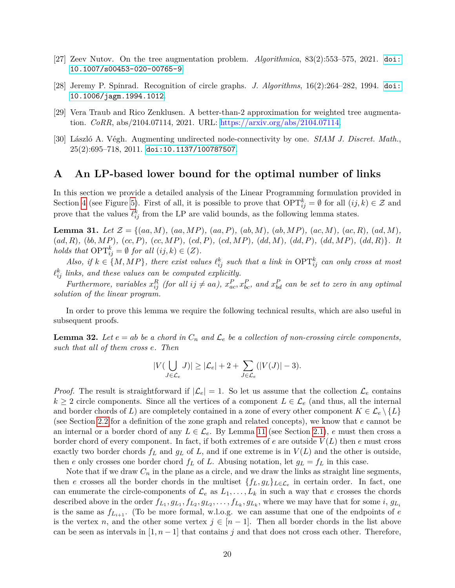- <span id="page-20-1"></span>[27] Zeev Nutov. On the tree augmentation problem. *Algorithmica*, 83(2):553–575, 2021. [doi:](https://doi.org/10.1007/s00453-020-00765-9) [10.1007/s00453-020-00765-9](https://doi.org/10.1007/s00453-020-00765-9).
- <span id="page-20-3"></span>[28] Jeremy P. Spinrad. Recognition of circle graphs. *J. Algorithms*, 16(2):264–282, 1994. [doi:](https://doi.org/10.1006/jagm.1994.1012) [10.1006/jagm.1994.1012](https://doi.org/10.1006/jagm.1994.1012).
- <span id="page-20-0"></span>[29] Vera Traub and Rico Zenklusen. A better-than-2 approximation for weighted tree augmentation. *CoRR*, abs/2104.07114, 2021. URL: [https://arxiv.org/abs/2104.07114.](https://arxiv.org/abs/2104.07114)
- <span id="page-20-2"></span>[30] László A. Végh. Augmenting undirected node-connectivity by one. *SIAM J. Discret. Math.*,  $25(2):695-718, 2011.$  [doi:10.1137/100787507](https://doi.org/10.1137/100787507).

## **A An LP-based lower bound for the optimal number of links**

In this section we provide a detailed analysis of the Linear Programming formulation provided in Section [4](#page-13-0) (see Figure [5\)](#page-15-0). First of all, it is possible to prove that  $\text{OPT}_{ij}^k = \emptyset$  for all  $(ij, k) \in \mathcal{Z}$  and prove that the values  $\ell_{ij}^k$  from the LP are valid bounds, as the following lemma states.

<span id="page-20-5"></span>**Lemma 31.** *Let*  $\mathcal{Z} = \{(aa, M), (aa, MP), (aa, P), (ab, M), (ab, MP), (ac, M), (ac, R), (ad, M),\}$  $(ad, R), (bb, MP), (cc, P), (cc, MP), (cd, P), (cd, MP), (dd, M), (dd, P), (dd, MP), (dd, R)\}.$  It *holds that*  $\text{OPT}_{ij}^k = \emptyset$  *for all*  $(ij, k) \in (Z)$ *.* 

*Also, if*  $k \in \{M, MP\}$ , there exist values  $\ell_{ij}^k$  such that a link in  $\text{OPT}_{ij}^k$  can only cross at most  $\ell_{ij}^k$  links, and these values can be computed explicitly.

Furthermore, variables  $x_{ij}^R$  (for all  $ij \neq aa$ ),  $x_{ac}^P, x_{bc}^P$ , and  $x_{bd}^P$  can be set to zero in any optimal *solution of the linear program.*

In order to prove this lemma we require the following technical results, which are also useful in subsequent proofs.

<span id="page-20-4"></span>**Lemma 32.** Let  $e = ab$  be a chord in  $C_n$  and  $\mathcal{L}_e$  be a collection of non-crossing circle components, *such that all of them cross e. Then*

$$
|V(\bigcup_{J\in \mathcal{L}_e}J)|\geq |\mathcal{L}_e|+2+\sum_{J\in \mathcal{L}_e}(|V(J)|-3).
$$

*Proof.* The result is straightforward if  $|\mathcal{L}_e| = 1$ . So let us assume that the collection  $\mathcal{L}_e$  contains  $k \geq 2$  circle components. Since all the vertices of a component  $L \in \mathcal{L}_e$  (and thus, all the internal and border chords of *L*) are completely contained in a zone of every other component  $K \in \mathcal{L}_e \setminus \{L\}$ (see Section [2.2](#page-6-2) for a definition of the zone graph and related concepts), we know that *e* cannot be an internal or a border chord of any  $L \in \mathcal{L}_e$ . By Lemma [11](#page-5-2) (see Section [2.1\)](#page-4-1), *e* must then cross a border chord of every component. In fact, if both extremes of *e* are outside *V* (*L*) then *e* must cross exactly two border chords  $f_L$  and  $g_L$  of  $L$ , and if one extreme is in  $V(L)$  and the other is outside, then *e* only crosses one border chord  $f_L$  of *L*. Abusing notation, let  $g_L = f_L$  in this case.

Note that if we draw  $C_n$  in the plane as a circle, and we draw the links as straight line segments, then *e* crosses all the border chords in the multiset  $\{f_L, g_L\}_{L \in \mathcal{L}_e}$  in certain order. In fact, one can enumerate the circle-components of  $\mathcal{L}_e$  as  $L_1, \ldots, L_k$  in such a way that *e* crosses the chords described above in the order  $f_{L_1}, g_{L_1}, f_{L_2}, g_{L_2}, \ldots, f_{L_k}, g_{L_k}$ , where we may have that for some i,  $g_{L_i}$ is the same as  $f_{L_{i+1}}$ . (To be more formal, w.l.o.g. we can assume that one of the endpoints of  $e$ is the vertex *n*, and the other some vertex  $j \in [n-1]$ . Then all border chords in the list above can be seen as intervals in  $[1, n-1]$  that contains *j* and that does not cross each other. Therefore,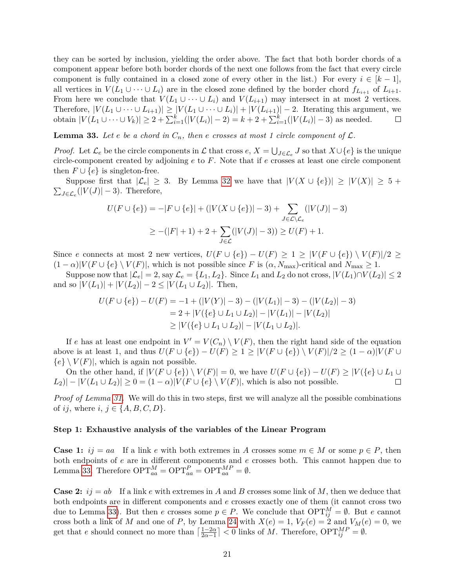they can be sorted by inclusion, yielding the order above. The fact that both border chords of a component appear before both border chords of the next one follows from the fact that every circle component is fully contained in a closed zone of every other in the list.) For every  $i \in [k-1]$ , all vertices in  $V(L_1 \cup \cdots \cup L_i)$  are in the closed zone defined by the border chord  $f_{L_{i+1}}$  of  $L_{i+1}$ . From here we conclude that  $V(L_1 \cup \cdots \cup L_i)$  and  $V(L_{i+1})$  may intersect in at most 2 vertices. Therefore,  $|V(L_1 \cup \cdots \cup L_{i+1})| \geq |V(L_1 \cup \cdots \cup L_i)| + |V(L_{i+1})| - 2$ . Iterating this argument, we obtain  $|V(L_1 \cup \cdots \cup V_k)| \geq 2 + \sum_{i=1}^k (|V(L_i)| - 2) = k + 2 + \sum_{i=1}^k (|V(L_i)| - 3)$  as needed.

<span id="page-21-0"></span>**Lemma 33.** Let *e* be a chord in  $C_n$ , then *e* crosses at most 1 circle component of  $\mathcal{L}$ .

*Proof.* Let  $\mathcal{L}_e$  be the circle components in  $\mathcal{L}$  that cross  $e, X = \bigcup_{J \in \mathcal{L}_e} J$  so that  $X \cup \{e\}$  is the unique circle-component created by adjoining *e* to *F*. Note that if *e* crosses at least one circle component then  $F \cup \{e\}$  is singleton-free.

Suppose first that  $|\mathcal{L}_e| \geq 3$ . By Lemma [32](#page-20-4) we have that  $|V(X \cup \{e\})| \geq |V(X)| \geq 5 +$  $\sum_{J \in \mathcal{L}_e} (|V(J)| - 3)$ . Therefore,

$$
U(F \cup \{e\}) = -|F \cup \{e\}| + (|V(X \cup \{e\})| - 3) + \sum_{J \in \mathcal{L} \setminus \mathcal{L}_e} (|V(J)| - 3)
$$
  
 
$$
\geq -(|F| + 1) + 2 + \sum_{J \in \mathcal{L}} (|V(J)| - 3)) \geq U(F) + 1.
$$

Since *e* connects at most 2 new vertices,  $U(F \cup \{e\}) - U(F) \geq 1 \geq |V(F \cup \{e\}) \setminus V(F)|/2 \geq$  $(1 - \alpha)|V(F \cup \{e\} \setminus V(F)|$ , which is not possible since *F* is  $(\alpha, N_{\text{max}})$ -critical and  $N_{\text{max}} \geq 1$ .

Suppose now that  $|\mathcal{L}_e| = 2$ , say  $\mathcal{L}_e = \{L_1, L_2\}$ . Since  $L_1$  and  $L_2$  do not cross,  $|V(L_1) \cap V(L_2)| \leq 2$ and so  $|V(L_1)| + |V(L_2)| - 2 \leq |V(L_1 \cup L_2)|$ . Then,

$$
U(F \cup \{e\}) - U(F) = -1 + (|V(Y)| - 3) - (|V(L_1)| - 3) - (|V(L_2)| - 3)
$$
  
= 2 + |V(\{e\} \cup L\_1 \cup L\_2)| - |V(L\_1)| - |V(L\_2)|  
\ge |V(\{e\} \cup L\_1 \cup L\_2)| - |V(L\_1 \cup L\_2)|.

If *e* has at least one endpoint in  $V' = V(C_n) \setminus V(F)$ , then the right hand side of the equation above is at least 1, and thus  $U(F \cup \{e\}) - U(F) \geq 1 \geq |V(F \cup \{e\}) \setminus V(F)|/2 \geq (1-\alpha)|V(F \cup \{e\})|$  ${e} \setminus V(F)$ , which is again not possible.

On the other hand, if  $|V(F \cup \{e\}) \setminus V(F)| = 0$ , we have  $U(F \cup \{e\}) - U(F) \geq |V(\{e\} \cup L_1 \cup$  $|L_2| - |V(L_1 \cup L_2)| \geq 0 = (1 - \alpha)|V(F \cup \{e\} \setminus V(F)|)$ , which is also not possible. П

*Proof of Lemma [31.](#page-20-5)* We will do this in two steps, first we will analyze all the possible combinations of *ij*, where  $i, j \in \{A, B, C, D\}$ .

#### **Step 1: Exhaustive analysis of the variables of the Linear Program**

**Case 1:**  $ij = aa$  If a link *e* with both extremes in *A* crosses some  $m \in M$  or some  $p \in P$ , then both endpoints of *e* are in different components and *e* crosses both. This cannot happen due to Lemma [33.](#page-21-0) Therefore  $\text{OPT}_{aa}^M = \text{OPT}_{aa}^P = \text{OPT}_{aa}^M = \emptyset$ .

**Case 2:**  $ij = ab$  If a link *e* with extremes in *A* and *B* crosses some link of *M*, then we deduce that both endpoints are in different components and *e* crosses exactly one of them (it cannot cross two due to Lemma [33\)](#page-21-0). But then *e* crosses some  $p \in P$ . We conclude that  $\text{OPT}_{ij}^M = \emptyset$ . But *e* cannot cross both a link of *M* and one of *P*, by Lemma [24](#page-12-0) with  $X(e) = 1$ ,  $V_F(e) = 2$  and  $V_M(e) = 0$ , we get that *e* should connect no more than  $\left[\frac{1-2\alpha}{2\alpha-1}\right]$  $\frac{1-2\alpha}{2\alpha-1}$  < 0 links of *M*. Therefore,  $\text{OPT}_{ij}^{MP} = \emptyset$ .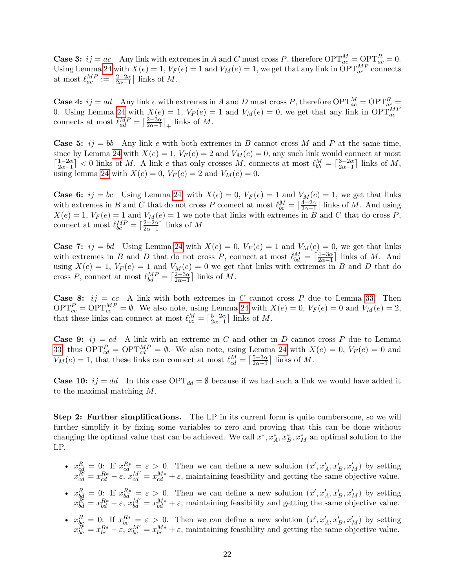**Case 3:**  $ij = ac$  Any link with extremes in *A* and *C* must cross *P*, therefore  $\text{OPT}_{ac}^M = \text{OPT}_{ac}^R = 0$ . Using Lemma [24](#page-12-0) with  $X(e) = 1$ ,  $V_F(e) = 1$  and  $V_M(e) = 1$ , we get that any link in  $\text{OPT}_{ac}^{MP}$  connects at most  $\ell_{ac}^{MP} := \lceil \frac{2-2\alpha}{2\alpha-1} \rceil$  $\frac{2-2\alpha}{2\alpha-1}$  links of M.

**Case 4:**  $ij = ad$  Any link *e* with extremes in *A* and *D* must cross *P*, therefore  $\text{OPT}_{ac}^M = \text{OPT}_{ac}^R =$ 0. Using Lemma [24](#page-12-0) with  $X(e) = 1$ ,  $V_F(e) = 1$  and  $V_M(e) = 0$ , we get that any link in  $OPT_{ac}^{MF}$ connects at most  $\ell_{ad}^{MP} = \lceil \frac{2-3\alpha}{2\alpha-1} \rceil$  $\frac{2-3\alpha}{2\alpha-1}$ <sup>1</sup> links of *M*.

**Case 5:**  $i j = bb$  Any link *e* with both extremes in *B* cannot cross *M* and *P* at the same time, since by Lemma [24](#page-12-0) with  $X(e) = 1$ ,  $V_F(e) = 2$  and  $V_M(e) = 0$ , any such link would connect at most  $\lceil \frac{1-2\alpha}{2a-1} \rceil$  $\left[\frac{1-2\alpha}{2\alpha-1}\right]$  < 0 links of *M*. A link *e* that only crosses *M*, connects at most  $\ell_{bb}^M = \left[\frac{3-2\alpha}{2\alpha-1}\right]$  $\frac{3-2\alpha}{2\alpha-1}$  links of *M*, using lemma [24](#page-12-0) with  $X(e) = 0$ ,  $V_F(e) = 2$  and  $V_M(e) = 0$ .

**Case 6:**  $ij = bc$  Using Lemma [24,](#page-12-0) with  $X(e) = 0$ ,  $V_F(e) = 1$  and  $V_M(e) = 1$ , we get that links with extremes in *B* and *C* that do not cross *P* connect at most  $\ell_{bc}^M = \lceil \frac{4-2\alpha}{2\alpha-1} \rceil$  $\frac{4-2\alpha}{2\alpha-1}$  links of M. And using  $X(e) = 1$ ,  $V_F(e) = 1$  and  $V_M(e) = 1$  we note that links with extremes in *B* and *C* that do cross *P*, connect at most  $\ell_{bc}^{MP} = \lceil \frac{2-2\alpha}{2\alpha-1} \rceil$  $\frac{2-2\alpha}{2\alpha-1}$  links of M.

**Case 7:**  $ij = bd$  Using Lemma [24](#page-12-0) with  $X(e) = 0$ ,  $V_F(e) = 1$  and  $V_M(e) = 0$ , we get that links with extremes in *B* and *D* that do not cross *P*, connect at most  $\ell_{bd}^M = \lceil \frac{4-3\alpha}{2\alpha-1} \rceil$  $\frac{4-3\alpha}{2\alpha-1}$  links of *M*. And using  $X(e) = 1$ ,  $V_F(e) = 1$  and  $V_M(e) = 0$  we get that links with extremes in *B* and *D* that do cross *P*, connect at most  $\ell_{bd}^{MP} = \lceil \frac{2-3\alpha}{2\alpha-1} \rceil$  $\frac{2-3\alpha}{2\alpha-1}$  links of M.

**Case 8:**  $ij = cc$  A link with both extremes in *C* cannot cross *P* due to Lemma [33.](#page-21-0) Then OPT<sup>*P*</sup><sub>cc</sub> = OPT<sup>*MP*</sup> =  $\emptyset$ . We also note, using Lemma [24](#page-12-0) with *X*(*e*) = 0, *V<sub>F</sub>*(*e*) = 0 and *V<sub>M</sub>*(*e*) = 2, that these links can connect at most  $\ell_{cc}^M = \lceil \frac{5-2\alpha}{2\alpha-1} \rceil$  $\frac{5-2\alpha}{2\alpha-1}$  links of *M*.

**Case 9:**  $ij = cd$  A link with an extreme in C and other in D cannot cross P due to Lemma [33;](#page-21-0) thus  $\text{OPT}_{cd}^P = \text{OPT}_{cd}^M P = \emptyset$ . We also note, using Lemma [24](#page-12-0) with  $X(e) = 0$ ,  $V_F(e) = 0$  and  $V_M(e) = 1$ , that these links can connect at most  $\ell_{cd}^M = \lceil \frac{5-3\alpha}{2\alpha-1} \rceil$  $\frac{5-3\alpha}{2\alpha-1}$  links of *M*.

**Case 10:**  $ij = dd$  In this case  $OPT_{dd} = \emptyset$  because if we had such a link we would have added it to the maximal matching *M*.

**Step 2: Further simplifications.** The LP in its current form is quite cumbersome, so we will further simplify it by fixing some variables to zero and proving that this can be done without changing the optimal value that can be achieved. We call  $x^*, x^*_A, x^*_B, x^*_M$  an optimal solution to the LP.

- $x_{cd}^R = 0$ : If  $x_{cd}^{R*} = \varepsilon > 0$ . Then we can define a new solution  $(x', x'_A, x'_B, x'_M)$  by setting  $x_{cd}^{R'} = x_{cd}^{R*} - \varepsilon$ ,  $x_{cd}^{M'} = x_{cd}^{M*} + \varepsilon$ , maintaining feasibility and getting the same objective value.
- $x_{bd}^R = 0$ : If  $x_{bd}^{R*} = \varepsilon > 0$ . Then we can define a new solution  $(x', x'_A, x'_B, x'_M)$  by setting  $x_{bd}^R = x_{bd}^{R*} - \varepsilon$ ,  $x_{bd}^M = x_{bd}^{M*} + \varepsilon$ , maintaining feasibility and getting the same objective value.
- $x_{bc}^R = 0$ : If  $x_{bc}^{R*} = \varepsilon > 0$ . Then we can define a new solution  $(x', x'_A, x'_B, x'_M)$  by setting  $x_{bc}^{\widetilde{R}'} = x_{bc}^{R*} - \varepsilon$ ,  $x_{bc}^{M'} = x_{bc}^{M*} + \varepsilon$ , maintaining feasibility and getting the same objective value.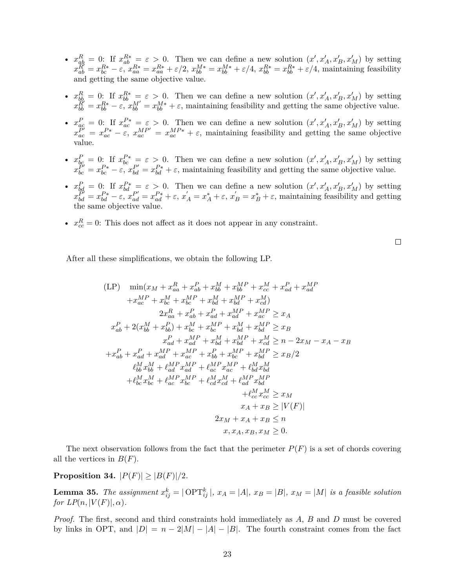- $x_{ab}^R = 0$ : If  $x_{ab}^{R*} = \varepsilon > 0$ . Then we can define a new solution  $(x', x'_A, x'_B, x'_M)$  by setting  $x_{ab}^{\widetilde{R}'}=x_{bc}^{R*}-\varepsilon, x_{aa}^{R*}=x_{aa}^{R*}+\varepsilon/2, x_{bb}^{M*}=x_{bb}^{M*}+\varepsilon/4, x_{bb}^{R*}=x_{bb}^{R*}+\varepsilon/4,$  maintaining feasibility and getting the same objective value.
- $x_{bb}^R = 0$ : If  $x_{bb}^{R*} = \varepsilon > 0$ . Then we can define a new solution  $(x', x'_A, x'_B, x'_M)$  by setting  $x_{bb}^R = x_{bb}^{R*} - \varepsilon$ ,  $x_{bb}^M = x_{bb}^{M*} + \varepsilon$ , maintaining feasibility and getting the same objective value.
- $x_{ac}^P = 0$ : If  $x_{ac}^{P*} = \varepsilon > 0$ . Then we can define a new solution  $(x', x'_A, x'_B, x'_M)$  by setting  $x_{ac}^{\tilde{P}'} = x_{ac}^{P*} - \varepsilon$ ,  $x_{ac}^{MP*} = x_{ac}^{MP*} + \varepsilon$ , maintaining feasibility and getting the same objective value.
- $x_{bc}^P = 0$ : If  $x_{bc}^{P*} = \varepsilon > 0$ . Then we can define a new solution  $(x', x'_A, x'_B, x'_M)$  by setting  $x_{bc}^{p} = x_{bc}^{p*} - \varepsilon$ ,  $x_{bd}^{p'} = x_{bd}^{p*} + \varepsilon$ , maintaining feasibility and getting the same objective value.
- $x_{bd}^P = 0$ : If  $x_{bd}^{P*} = \varepsilon > 0$ . Then we can define a new solution  $(x', x'_A, x'_B, x'_M)$  by setting  $x_{bd}^{\overleftrightarrow{P}} = x_{bd}^{P*} - \varepsilon, \ x_{ad}^{\overleftrightarrow{P}} = x_{ad}^{P*} + \varepsilon, \ x_A^{\prime} = x_A^* + \varepsilon, \ x_B^{\prime} = x_B^* + \varepsilon, \ \text{maintaining feasibility and getting}$ the same objective value.
- $x_{cc}^R = 0$ : This does not affect as it does not appear in any constraint.

 $\Box$ 

After all these simplifications, we obtain the following LP.

$$
\begin{aligned}\n\text{(LP)} \quad & \min(x_M + x_{aa}^R + x_{ab}^P + x_{bb}^M + x_{bb}^{MP} + x_{cc}^M + x_{ad}^P + x_{ad}^M \\
& + x_{ac}^{MP} + x_{bc}^M + x_{bc}^{MP} + x_{bd}^M + x_{bd}^{MP} + x_{cd}^M) \\
& 2x_{aa}^R + x_{ab}^P + x_{ad}^P + x_{ad}^M + x_{ac}^{MP} \ge x_A \\
& x_{ab}^P + 2(x_{bb}^M + x_{bb}^D) + x_{bc}^M + x_{bc}^M + x_{bd}^M + x_{bd}^M + x_{bd}^M \ge x_B \\
& x_{ad}^P + x_{ad}^M + x_{ad}^M + x_{bd}^M + x_{bd}^M + x_{cd}^M \ge n - 2x_M - x_A - x_B \\
& + x_{ab}^P + x_{ad}^P + x_{ad}^M + x_{ac}^M + x_{bb}^P + x_{bc}^M + x_{bd}^M \ge x_B/2 \\
& \ell_{bb}^M x_{bb}^M + \ell_{ad}^M x_{ad}^M + \ell_{ac}^M x_{ac}^M + \ell_{bd}^M x_{bd}^M \\
& + \ell_{bc}^M x_{bc}^M + \ell_{ac}^M x_{bc}^M + \ell_{cd}^M x_{cd}^M + \ell_{ad}^M x_{cd}^M \\
& + \ell_{cc}^M x_{cc}^M \ge x_M \\
& x_A + x_B \ge |V(F)| \\
& 2x_M + x_A + x_B \le n \\
& x, x_A, x_B, x_M \ge 0.\n\end{aligned}
$$

The next observation follows from the fact that the perimeter  $P(F)$  is a set of chords covering all the vertices in  $B(F)$ .

# <span id="page-23-0"></span>**Proposition 34.**  $|P(F)| \geq |B(F)|/2$ *.*

**Lemma 35.** The assignment  $x_{ij}^k = |\text{OPT}_{ij}^k|$ ,  $x_A = |A|$ ,  $x_B = |B|$ ,  $x_M = |M|$  is a feasible solution *for LP* $(n, |V(F)|, \alpha)$ *.* 

*Proof.* The first, second and third constraints hold immediately as *A*, *B* and *D* must be covered by links in OPT, and  $|D| = n - 2|M| - |A| - |B|$ . The fourth constraint comes from the fact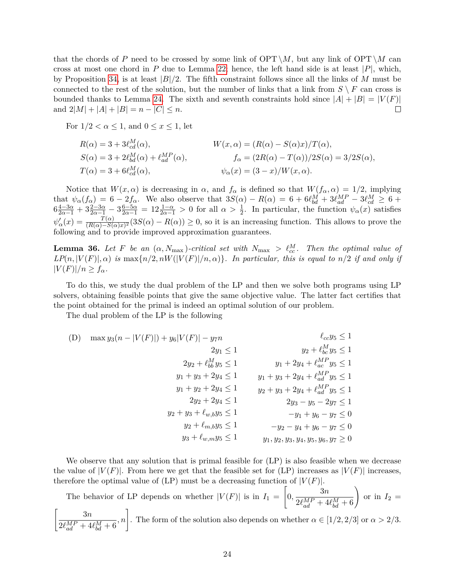that the chords of P need to be crossed by some link of  $\text{OPT} \setminus M$ , but any link of  $\text{OPT} \setminus M$  can cross at most one chord in  $P$  due to Lemma [22;](#page-11-1) hence, the left hand side is at least  $|P|$ , which, by Proposition [34,](#page-23-0) is at least  $|B|/2$ . The fifth constraint follows since all the links of *M* must be connected to the rest of the solution, but the number of links that a link from  $S \setminus F$  can cross is bounded thanks to Lemma [24.](#page-12-0) The sixth and seventh constraints hold since  $|A| + |B| = |V(F)|$ and  $2|M| + |A| + |B| = n - |C| \leq n$ .  $\Box$ 

For  $1/2 < \alpha < 1$ , and  $0 < x < 1$ , let

$$
R(\alpha) = 3 + 3\ell_{cd}^M(\alpha),
$$
  
\n
$$
S(\alpha) = 3 + 2\ell_{bd}^M(\alpha) + \ell_{ad}^{MP}(\alpha),
$$
  
\n
$$
T(\alpha) = 3 + 6\ell_{cd}^M(\alpha),
$$
  
\n
$$
W(x, \alpha) = (R(\alpha) - S(\alpha)x)/T(\alpha),
$$
  
\n
$$
f_{\alpha} = (2R(\alpha) - T(\alpha))/2S(\alpha) = 3/2S(\alpha),
$$
  
\n
$$
\psi_{\alpha}(x) = (3 - x)/W(x, \alpha).
$$

Notice that  $W(x, \alpha)$  is decreasing in  $\alpha$ , and  $f_{\alpha}$  is defined so that  $W(f_{\alpha}, \alpha) = 1/2$ , implying that  $\psi_{\alpha}(f_{\alpha}) = 6 - 2f_{\alpha}$ . We also observe that  $3S(\alpha) - R(\alpha) = 6 + 6\ell_{bd}^M + 3\ell_{ad}^{MP} - 3\ell_{cd}^M \geq 6 +$  $6\frac{4-3\alpha}{2\alpha-1}+3\frac{2-3\alpha}{2\alpha-1}-3\frac{6-5\alpha}{2\alpha-1}=12\frac{1-\alpha}{2\alpha-1}>0$  for all  $\alpha>\frac{1}{2}$ . In particular, the function  $\psi_{\alpha}(x)$  satisfies  $\psi'_{\alpha}(x) = \frac{T(\alpha)}{(R(\alpha)-S(\alpha)x)^2} (3S(\alpha)-R(\alpha)) \geq 0$ , so it is an increasing function. This allows to prove the following and to provide improved approximation guarantees.

<span id="page-24-0"></span>**Lemma 36.** Let F be an  $(\alpha, N_{\text{max}})$ -critical set with  $N_{\text{max}} > l_{cc}^M$ . Then the optimal value of  $LP(n, |V(F)|, \alpha)$  *is* max $\{n/2, nW(|V(F)|/n, \alpha)\}$ *. In particular, this is equal to*  $n/2$  *if and only if*  $|V(F)|/n \geq f_{\alpha}$ .

To do this, we study the dual problem of the LP and then we solve both programs using LP solvers, obtaining feasible points that give the same objective value. The latter fact certifies that the point obtained for the primal is indeed an optimal solution of our problem.

The dual problem of the LP is the following

(D) 
$$
\max y_3(n - |V(F)|) + y_6|V(F)| - y_7n
$$
  
\n $2y_1 \le 1$   
\n $2y_2 + \ell_{bb}^M y_5 \le 1$   
\n $y_1 + y_3 + 2y_4 \le 1$   
\n $y_1 + y_2 + 2y_4 \le 1$   
\n $y_2 + \ell_{ad}^M y_5 \le 1$   
\n $y_1 + y_3 + 2y_4 + \ell_{ad}^M y_5 \le 1$   
\n $y_1 + y_2 + 2y_4 \le 1$   
\n $y_2 + y_3 + \ell_{w,b}y_5 \le 1$   
\n $y_2 + y_3 + \ell_{w,b}y_5 \le 1$   
\n $y_3 + \ell_{w,m}y_5 \le 1$   
\n $y_4 + \ell_{m,m}y_5 \le 1$   
\n $y_5 - 2y_7 \le 1$   
\n $y_7 + y_8 - y_7 \le 0$   
\n $y_8 + \ell_{w,m}y_5 \le 1$   
\n $y_9 + \ell_{m,m}y_5 \le 1$   
\n $y_9 + \ell_{m,m}y_5 \le 1$   
\n $y_1, y_2, y_3, y_4, y_5, y_6, y_7 \ge 0$ 

We observe that any solution that is primal feasible for  $(LP)$  is also feasible when we decrease the value of  $|V(F)|$ . From here we get that the feasible set for (LP) increases as  $|V(F)|$  increases. therefore the optimal value of  $(LP)$  must be a decreasing function of  $|V(F)|$ .

The behavior of LP depends on whether  $|V(F)|$  is in  $I_1 =$  $\lceil$  $0, \frac{3n}{2.6MP + 4}$  $\frac{3n}{2\ell_{ad}^{MP} + 4\ell_{bd}^{M} + 6}$ or in  $I_2 =$  $\begin{bmatrix} 3n \end{bmatrix}$  $2\ell_{ad}^{MP} + 4\ell_{bd}^{M} + 6$ *, n*<sup>1</sup>. The form of the solution also depends on whether  $\alpha \in [1/2, 2/3]$  or  $\alpha > 2/3$ .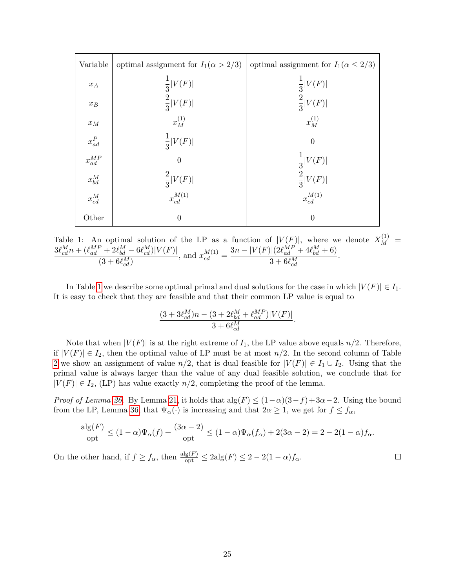<span id="page-25-0"></span>

| Variable                | optimal assignment for $I_1(\alpha > 2/3)$ | optimal assignment for $I_1(\alpha \leq 2/3)$ |
|-------------------------|--------------------------------------------|-----------------------------------------------|
| $x_{\mathcal{A}}$       | $rac{1}{3} V(F) $                          | $rac{1}{3} V(F) $                             |
| $\boldsymbol{x}_B$      | $\frac{2}{3} V(F) $                        | $\frac{2}{3} V(F) $                           |
| $\mathcal{X} M$         | $x_M^{(1)}$                                | $x_M^{(1)}$                                   |
| $\boldsymbol{x}_{ad}^P$ | $\frac{1}{3} V(F) $                        | $\overline{0}$                                |
| $x_{ad}^{\cal MP}$      | $\overline{0}$                             | $rac{1}{3} V(F) $                             |
| $x_{bd}^M$              |                                            | $\frac{2}{3} V(F) $                           |
| $x_{cd}^M$              | $\frac{2}{3} V(F) $<br>$x_{cd}^{M(1)}$     | $x_{cd}^{{\cal M}(1)}$                        |
| Other                   | $\overline{0}$                             | $\Omega$                                      |

Table 1: An optimal solution of the LP as a function of  $|V(F)|$ , where we denote  $X_M^{(1)}$  =  $3\ell_{cd}^{M}n + (\ell_{ad}^{MP} + 2\ell_{bd}^{M} - 6\ell_{cd}^{M})|V(F)|$  $\frac{(-1)^k + 2\ell_{bd}^{n-1} - 6\ell_{cd}^{n-1}}{(3 + 6\ell_{cd}^{M})}$ , and  $x_{cd}^{M(1)} =$  $3n - |V(F)|(2\ell_{ad}^{MP} + 4\ell_{bd}^{M} + 6)$  $3 + 6\ell_{cd}^M$ .

In Table [1](#page-25-0) we describe some optimal primal and dual solutions for the case in which  $|V(F)| \in I_1$ . It is easy to check that they are feasible and that their common LP value is equal to

$$
\frac{(3+3\ell_{cd}^M)n-(3+2\ell_{bd}^M+\ell_{ad}^{MP})|V(F)|}{3+6\ell_{cd}^M}.
$$

Note that when  $|V(F)|$  is at the right extreme of  $I_1$ , the LP value above equals  $n/2$ . Therefore, if  $|V(F)| \in I_2$ , then the optimal value of LP must be at most  $n/2$ . In the second column of Table [2](#page-26-0) we show an assignment of value  $n/2$ , that is dual feasible for  $|V(F)| \in I_1 \cup I_2$ . Using that the primal value is always larger than the value of any dual feasible solution, we conclude that for  $|V(F)| \in I_2$ , (LP) has value exactly  $n/2$ , completing the proof of the lemma.

*Proof of Lemma [26.](#page-14-1)* By Lemma [21,](#page-10-1) it holds that  $\text{alg}(F) \leq (1-\alpha)(3-f) + 3\alpha - 2$ . Using the bound from the LP, Lemma [36,](#page-24-0) that  $\Psi_{\alpha}(\cdot)$  is increasing and that  $2\alpha \geq 1$ , we get for  $f \leq f_{\alpha}$ ,

$$
\frac{\text{alg}(F)}{\text{opt}} \le (1-\alpha)\Psi_{\alpha}(f) + \frac{(3\alpha-2)}{\text{opt}} \le (1-\alpha)\Psi_{\alpha}(f_{\alpha}) + 2(3\alpha-2) = 2 - 2(1-\alpha)f_{\alpha}.
$$

On the other hand, if  $f \ge f_\alpha$ , then  $\frac{\text{alg}(F)}{\text{opt}} \le 2\text{alg}(F) \le 2 - 2(1 - \alpha)f_\alpha$ .  $\Box$